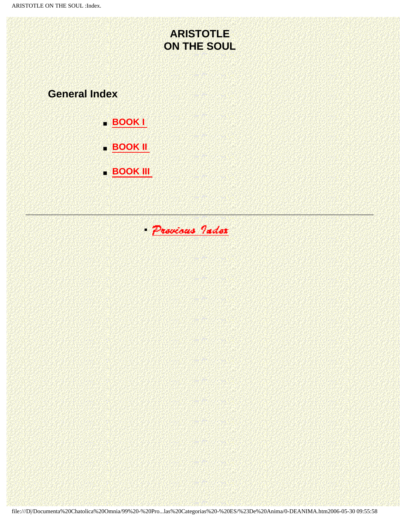# **ARISTOTLE ON THE SOUL General Index**  ■ **[BOOK I](#page-1-0)**  ■ **[BOOK II](#page-2-0)**  ■ **[BOOK III](#page-3-0)**

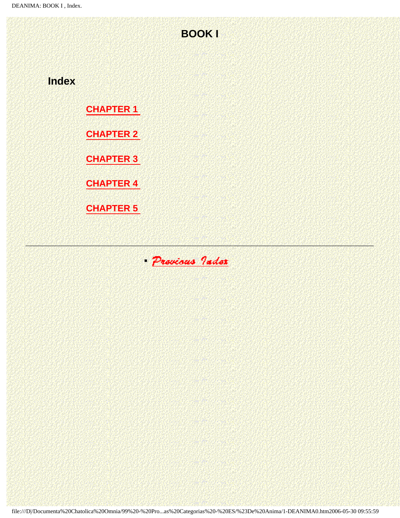<span id="page-1-0"></span>



file:///D|/Documenta%20Chatolica%20Omnia/99%20-%20Pro...as%20Categorias%20-%20ES/%23De%20Anima/1-DEANIMA0.htm2006-05-30 09:55:59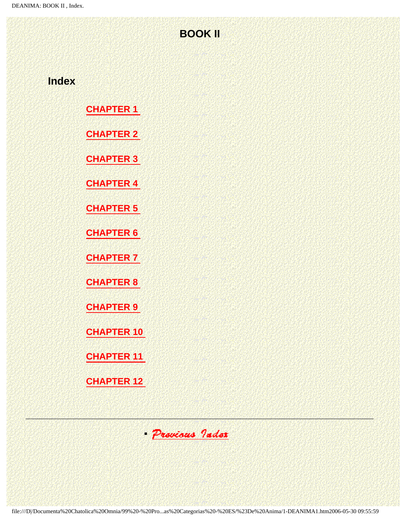# **BOOK II**

<span id="page-2-0"></span>**Index** 

**[CHAPTER 1](#page-28-0)** 

**[CHAPTER 2](#page-31-0)** 

**[CHAPTER 3](#page-34-0)** 

**[CHAPTER 4](#page-36-0)** 

**[CHAPTER 5](#page-41-0)** 

**[CHAPTER 6](#page-45-0)** 

**[CHAPTER 7](#page-47-0)** 

**[CHAPTER 8](#page-50-0)** 

**[CHAPTER 9](#page-55-0)** 

**[CHAPTER 10](#page-58-0)** 

**[CHAPTER 11](#page-60-0)** 

**[CHAPTER 12](#page-64-0)** 

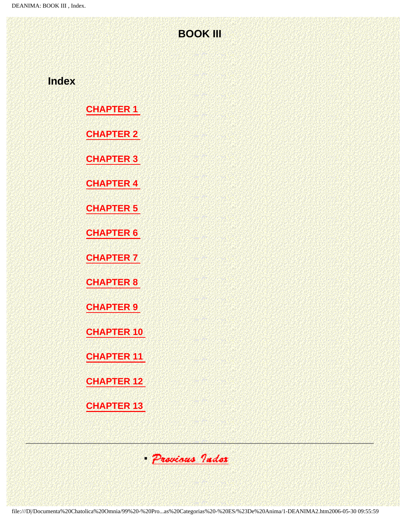# **BOOK III**

<span id="page-3-0"></span>**Index** 

**[CHAPTER 1](#page-66-0)** 

**[CHAPTER 2](#page-69-0)** 

**[CHAPTER 3](#page-73-0)** 

**[CHAPTER 4](#page-77-0)** 

**[CHAPTER 5](#page-80-0)** 

**[CHAPTER 6](#page-81-0)** 

**[CHAPTER 7](#page-83-0)** 

**[CHAPTER 8](#page-85-0)** 

**[CHAPTER 9](#page-87-0)** 

**[CHAPTER 10](#page-90-0)** 

**[CHAPTER 11](#page-93-0)** 

**[CHAPTER 12](#page-95-0)** 

**[CHAPTER 13](#page-97-0)** 

Previous Index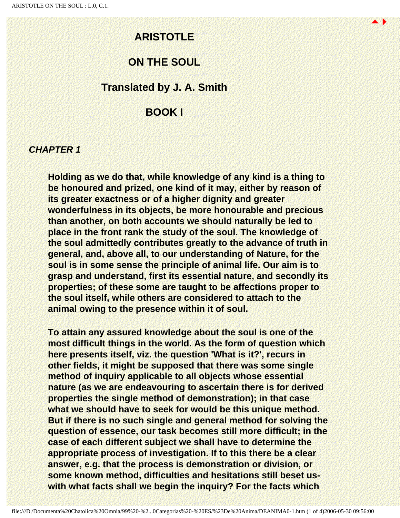## **ARISTOTLE**

#### **ON THE SOUL**

### <span id="page-4-0"></span>**Translated by J. A. Smith**

#### **BOOK I**

#### **CHAPTER 1**

**Holding as we do that, while knowledge of any kind is a thing to be honoured and prized, one kind of it may, either by reason of its greater exactness or of a higher dignity and greater wonderfulness in its objects, be more honourable and precious than another, on both accounts we should naturally be led to place in the front rank the study of the soul. The knowledge of the soul admittedly contributes greatly to the advance of truth in general, and, above all, to our understanding of Nature, for the soul is in some sense the principle of animal life. Our aim is to grasp and understand, first its essential nature, and secondly its properties; of these some are taught to be affections proper to the soul itself, while others are considered to attach to the animal owing to the presence within it of soul.** 

**To attain any assured knowledge about the soul is one of the most difficult things in the world. As the form of question which here presents itself, viz. the question 'What is it?', recurs in other fields, it might be supposed that there was some single method of inquiry applicable to all objects whose essential nature (as we are endeavouring to ascertain there is for derived properties the single method of demonstration); in that case what we should have to seek for would be this unique method. But if there is no such single and general method for solving the question of essence, our task becomes still more difficult; in the case of each different subject we shall have to determine the appropriate process of investigation. If to this there be a clear answer, e.g. that the process is demonstration or division, or some known method, difficulties and hesitations still beset uswith what facts shall we begin the inquiry? For the facts which**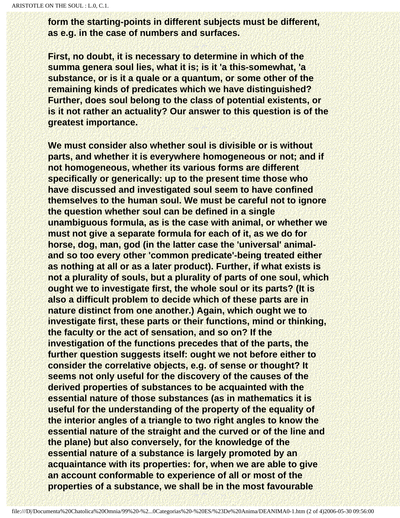**form the starting-points in different subjects must be different, as e.g. in the case of numbers and surfaces.** 

**First, no doubt, it is necessary to determine in which of the summa genera soul lies, what it is; is it 'a this-somewhat, 'a substance, or is it a quale or a quantum, or some other of the remaining kinds of predicates which we have distinguished? Further, does soul belong to the class of potential existents, or is it not rather an actuality? Our answer to this question is of the greatest importance.** 

**We must consider also whether soul is divisible or is without parts, and whether it is everywhere homogeneous or not; and if not homogeneous, whether its various forms are different specifically or generically: up to the present time those who have discussed and investigated soul seem to have confined themselves to the human soul. We must be careful not to ignore the question whether soul can be defined in a single unambiguous formula, as is the case with animal, or whether we must not give a separate formula for each of it, as we do for horse, dog, man, god (in the latter case the 'universal' animaland so too every other 'common predicate'-being treated either as nothing at all or as a later product). Further, if what exists is not a plurality of souls, but a plurality of parts of one soul, which ought we to investigate first, the whole soul or its parts? (It is also a difficult problem to decide which of these parts are in nature distinct from one another.) Again, which ought we to investigate first, these parts or their functions, mind or thinking, the faculty or the act of sensation, and so on? If the investigation of the functions precedes that of the parts, the further question suggests itself: ought we not before either to consider the correlative objects, e.g. of sense or thought? It seems not only useful for the discovery of the causes of the derived properties of substances to be acquainted with the essential nature of those substances (as in mathematics it is useful for the understanding of the property of the equality of the interior angles of a triangle to two right angles to know the essential nature of the straight and the curved or of the line and the plane) but also conversely, for the knowledge of the essential nature of a substance is largely promoted by an acquaintance with its properties: for, when we are able to give an account conformable to experience of all or most of the properties of a substance, we shall be in the most favourable**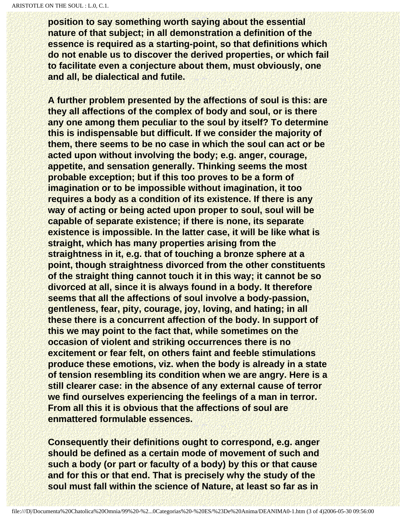**position to say something worth saying about the essential nature of that subject; in all demonstration a definition of the essence is required as a starting-point, so that definitions which do not enable us to discover the derived properties, or which fail to facilitate even a conjecture about them, must obviously, one and all, be dialectical and futile.** 

**A further problem presented by the affections of soul is this: are they all affections of the complex of body and soul, or is there any one among them peculiar to the soul by itself? To determine this is indispensable but difficult. If we consider the majority of them, there seems to be no case in which the soul can act or be acted upon without involving the body; e.g. anger, courage, appetite, and sensation generally. Thinking seems the most probable exception; but if this too proves to be a form of imagination or to be impossible without imagination, it too requires a body as a condition of its existence. If there is any way of acting or being acted upon proper to soul, soul will be capable of separate existence; if there is none, its separate existence is impossible. In the latter case, it will be like what is straight, which has many properties arising from the straightness in it, e.g. that of touching a bronze sphere at a point, though straightness divorced from the other constituents of the straight thing cannot touch it in this way; it cannot be so divorced at all, since it is always found in a body. It therefore seems that all the affections of soul involve a body-passion, gentleness, fear, pity, courage, joy, loving, and hating; in all these there is a concurrent affection of the body. In support of this we may point to the fact that, while sometimes on the occasion of violent and striking occurrences there is no excitement or fear felt, on others faint and feeble stimulations produce these emotions, viz. when the body is already in a state of tension resembling its condition when we are angry. Here is a still clearer case: in the absence of any external cause of terror we find ourselves experiencing the feelings of a man in terror. From all this it is obvious that the affections of soul are enmattered formulable essences.** 

**Consequently their definitions ought to correspond, e.g. anger should be defined as a certain mode of movement of such and such a body (or part or faculty of a body) by this or that cause and for this or that end. That is precisely why the study of the soul must fall within the science of Nature, at least so far as in**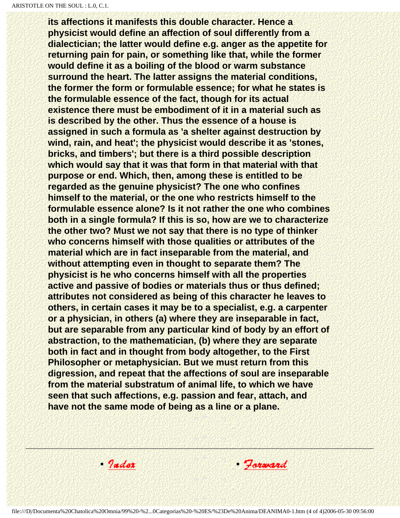**its affections it manifests this double character. Hence a physicist would define an affection of soul differently from a dialectician; the latter would define e.g. anger as the appetite for returning pain for pain, or something like that, while the former would define it as a boiling of the blood or warm substance surround the heart. The latter assigns the material conditions, the former the form or formulable essence; for what he states is the formulable essence of the fact, though for its actual existence there must be embodiment of it in a material such as is described by the other. Thus the essence of a house is assigned in such a formula as 'a shelter against destruction by wind, rain, and heat'; the physicist would describe it as 'stones, bricks, and timbers'; but there is a third possible description which would say that it was that form in that material with that purpose or end. Which, then, among these is entitled to be regarded as the genuine physicist? The one who confines himself to the material, or the one who restricts himself to the formulable essence alone? Is it not rather the one who combines both in a single formula? If this is so, how are we to characterize the other two? Must we not say that there is no type of thinker who concerns himself with those qualities or attributes of the material which are in fact inseparable from the material, and without attempting even in thought to separate them? The physicist is he who concerns himself with all the properties active and passive of bodies or materials thus or thus defined; attributes not considered as being of this character he leaves to others, in certain cases it may be to a specialist, e.g. a carpenter or a physician, in others (a) where they are inseparable in fact, but are separable from any particular kind of body by an effort of abstraction, to the mathematician, (b) where they are separate both in fact and in thought from body altogether, to the First Philosopher or metaphysician. But we must return from this digression, and repeat that the affections of soul are inseparable from the material substratum of animal life, to which we have seen that such affections, e.g. passion and fear, attach, and have not the same mode of being as a line or a plane.** 



Forward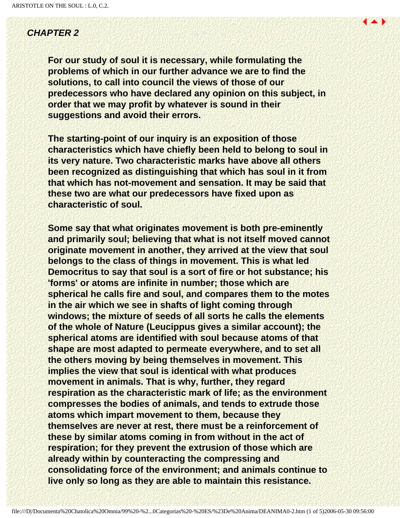<span id="page-8-0"></span>ARISTOTLE ON THE SOUL : L.0, C.2.

#### **CHAPTER 2**

**For our study of soul it is necessary, while formulating the problems of which in our further advance we are to find the solutions, to call into council the views of those of our predecessors who have declared any opinion on this subject, in order that we may profit by whatever is sound in their suggestions and avoid their errors.** 

 $\blacktriangle$ 

**The starting-point of our inquiry is an exposition of those characteristics which have chiefly been held to belong to soul in its very nature. Two characteristic marks have above all others been recognized as distinguishing that which has soul in it from that which has not-movement and sensation. It may be said that these two are what our predecessors have fixed upon as characteristic of soul.** 

**Some say that what originates movement is both pre-eminently and primarily soul; believing that what is not itself moved cannot originate movement in another, they arrived at the view that soul belongs to the class of things in movement. This is what led Democritus to say that soul is a sort of fire or hot substance; his 'forms' or atoms are infinite in number; those which are spherical he calls fire and soul, and compares them to the motes in the air which we see in shafts of light coming through windows; the mixture of seeds of all sorts he calls the elements of the whole of Nature (Leucippus gives a similar account); the spherical atoms are identified with soul because atoms of that shape are most adapted to permeate everywhere, and to set all the others moving by being themselves in movement. This implies the view that soul is identical with what produces movement in animals. That is why, further, they regard respiration as the characteristic mark of life; as the environment compresses the bodies of animals, and tends to extrude those atoms which impart movement to them, because they themselves are never at rest, there must be a reinforcement of these by similar atoms coming in from without in the act of respiration; for they prevent the extrusion of those which are already within by counteracting the compressing and consolidating force of the environment; and animals continue to live only so long as they are able to maintain this resistance.**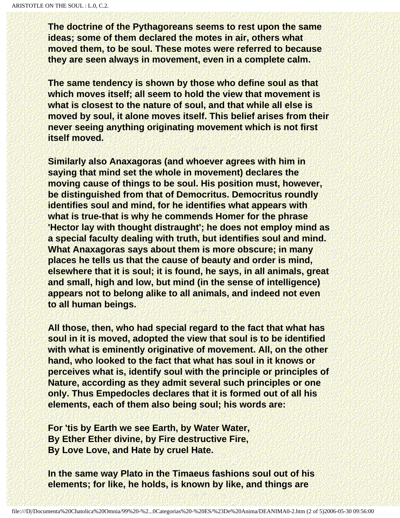**The doctrine of the Pythagoreans seems to rest upon the same ideas; some of them declared the motes in air, others what moved them, to be soul. These motes were referred to because they are seen always in movement, even in a complete calm.** 

**The same tendency is shown by those who define soul as that which moves itself; all seem to hold the view that movement is what is closest to the nature of soul, and that while all else is moved by soul, it alone moves itself. This belief arises from their never seeing anything originating movement which is not first itself moved.** 

**Similarly also Anaxagoras (and whoever agrees with him in saying that mind set the whole in movement) declares the moving cause of things to be soul. His position must, however, be distinguished from that of Democritus. Democritus roundly identifies soul and mind, for he identifies what appears with what is true-that is why he commends Homer for the phrase 'Hector lay with thought distraught'; he does not employ mind as a special faculty dealing with truth, but identifies soul and mind. What Anaxagoras says about them is more obscure; in many places he tells us that the cause of beauty and order is mind, elsewhere that it is soul; it is found, he says, in all animals, great and small, high and low, but mind (in the sense of intelligence) appears not to belong alike to all animals, and indeed not even to all human beings.** 

**All those, then, who had special regard to the fact that what has soul in it is moved, adopted the view that soul is to be identified with what is eminently originative of movement. All, on the other hand, who looked to the fact that what has soul in it knows or perceives what is, identify soul with the principle or principles of Nature, according as they admit several such principles or one only. Thus Empedocles declares that it is formed out of all his elements, each of them also being soul; his words are:** 

**For 'tis by Earth we see Earth, by Water Water, By Ether Ether divine, by Fire destructive Fire, By Love Love, and Hate by cruel Hate.** 

**In the same way Plato in the Timaeus fashions soul out of his elements; for like, he holds, is known by like, and things are**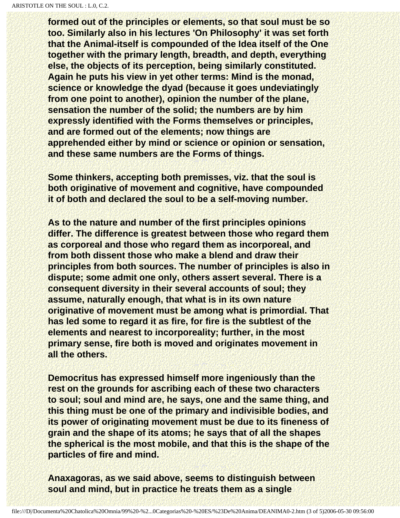**formed out of the principles or elements, so that soul must be so too. Similarly also in his lectures 'On Philosophy' it was set forth that the Animal-itself is compounded of the Idea itself of the One together with the primary length, breadth, and depth, everything else, the objects of its perception, being similarly constituted. Again he puts his view in yet other terms: Mind is the monad, science or knowledge the dyad (because it goes undeviatingly from one point to another), opinion the number of the plane, sensation the number of the solid; the numbers are by him expressly identified with the Forms themselves or principles, and are formed out of the elements; now things are apprehended either by mind or science or opinion or sensation, and these same numbers are the Forms of things.** 

**Some thinkers, accepting both premisses, viz. that the soul is both originative of movement and cognitive, have compounded it of both and declared the soul to be a self-moving number.** 

**As to the nature and number of the first principles opinions differ. The difference is greatest between those who regard them as corporeal and those who regard them as incorporeal, and from both dissent those who make a blend and draw their principles from both sources. The number of principles is also in dispute; some admit one only, others assert several. There is a consequent diversity in their several accounts of soul; they assume, naturally enough, that what is in its own nature originative of movement must be among what is primordial. That has led some to regard it as fire, for fire is the subtlest of the elements and nearest to incorporeality; further, in the most primary sense, fire both is moved and originates movement in all the others.** 

**Democritus has expressed himself more ingeniously than the rest on the grounds for ascribing each of these two characters to soul; soul and mind are, he says, one and the same thing, and this thing must be one of the primary and indivisible bodies, and its power of originating movement must be due to its fineness of grain and the shape of its atoms; he says that of all the shapes the spherical is the most mobile, and that this is the shape of the particles of fire and mind.** 

**Anaxagoras, as we said above, seems to distinguish between soul and mind, but in practice he treats them as a single**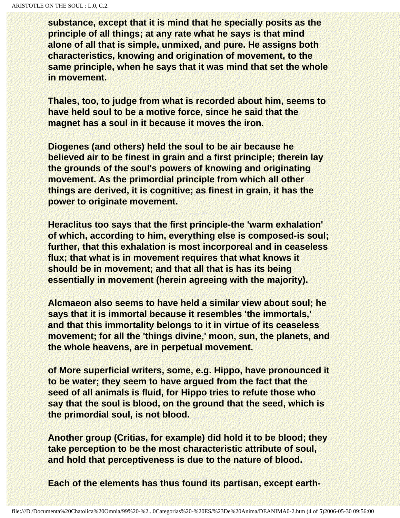**substance, except that it is mind that he specially posits as the principle of all things; at any rate what he says is that mind alone of all that is simple, unmixed, and pure. He assigns both characteristics, knowing and origination of movement, to the same principle, when he says that it was mind that set the whole in movement.** 

**Thales, too, to judge from what is recorded about him, seems to have held soul to be a motive force, since he said that the magnet has a soul in it because it moves the iron.** 

**Diogenes (and others) held the soul to be air because he believed air to be finest in grain and a first principle; therein lay the grounds of the soul's powers of knowing and originating movement. As the primordial principle from which all other things are derived, it is cognitive; as finest in grain, it has the power to originate movement.** 

**Heraclitus too says that the first principle-the 'warm exhalation' of which, according to him, everything else is composed-is soul; further, that this exhalation is most incorporeal and in ceaseless flux; that what is in movement requires that what knows it should be in movement; and that all that is has its being essentially in movement (herein agreeing with the majority).** 

**Alcmaeon also seems to have held a similar view about soul; he says that it is immortal because it resembles 'the immortals,' and that this immortality belongs to it in virtue of its ceaseless movement; for all the 'things divine,' moon, sun, the planets, and the whole heavens, are in perpetual movement.** 

**of More superficial writers, some, e.g. Hippo, have pronounced it to be water; they seem to have argued from the fact that the seed of all animals is fluid, for Hippo tries to refute those who say that the soul is blood, on the ground that the seed, which is the primordial soul, is not blood.** 

**Another group (Critias, for example) did hold it to be blood; they take perception to be the most characteristic attribute of soul, and hold that perceptiveness is due to the nature of blood.** 

**Each of the elements has thus found its partisan, except earth-**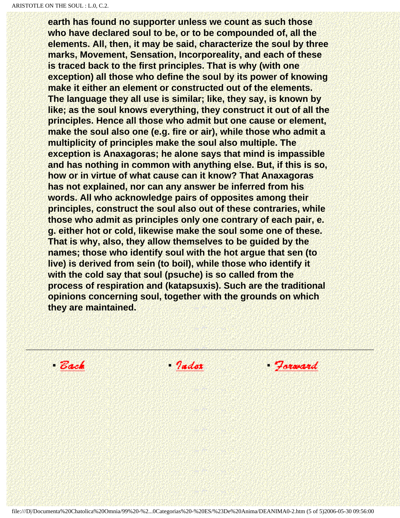**earth has found no supporter unless we count as such those who have declared soul to be, or to be compounded of, all the elements. All, then, it may be said, characterize the soul by three marks, Movement, Sensation, Incorporeality, and each of these is traced back to the first principles. That is why (with one exception) all those who define the soul by its power of knowing make it either an element or constructed out of the elements. The language they all use is similar; like, they say, is known by like; as the soul knows everything, they construct it out of all the principles. Hence all those who admit but one cause or element, make the soul also one (e.g. fire or air), while those who admit a multiplicity of principles make the soul also multiple. The exception is Anaxagoras; he alone says that mind is impassible and has nothing in common with anything else. But, if this is so, how or in virtue of what cause can it know? That Anaxagoras has not explained, nor can any answer be inferred from his words. All who acknowledge pairs of opposites among their principles, construct the soul also out of these contraries, while those who admit as principles only one contrary of each pair, e. g. either hot or cold, likewise make the soul some one of these. That is why, also, they allow themselves to be guided by the names; those who identify soul with the hot argue that sen (to live) is derived from sein (to boil), while those who identify it with the cold say that soul (psuche) is so called from the process of respiration and (katapsuxis). Such are the traditional opinions concerning soul, together with the grounds on which they are maintained.** 

Back



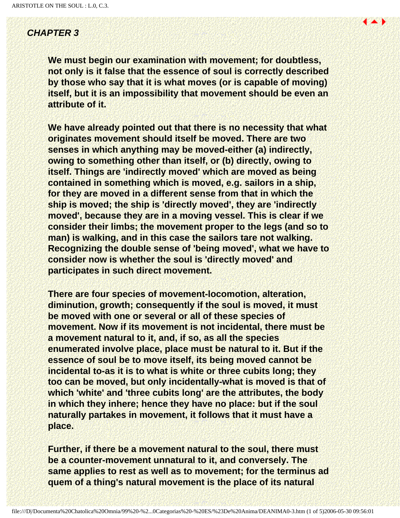#### <span id="page-13-0"></span>**CHAPTER 3**

**We must begin our examination with movement; for doubtless, not only is it false that the essence of soul is correctly described by those who say that it is what moves (or is capable of moving) itself, but it is an impossibility that movement should be even an attribute of it.** 

**We have already pointed out that there is no necessity that what originates movement should itself be moved. There are two senses in which anything may be moved-either (a) indirectly, owing to something other than itself, or (b) directly, owing to itself. Things are 'indirectly moved' which are moved as being contained in something which is moved, e.g. sailors in a ship, for they are moved in a different sense from that in which the ship is moved; the ship is 'directly moved', they are 'indirectly moved', because they are in a moving vessel. This is clear if we consider their limbs; the movement proper to the legs (and so to man) is walking, and in this case the sailors tare not walking. Recognizing the double sense of 'being moved', what we have to consider now is whether the soul is 'directly moved' and participates in such direct movement.** 

**There are four species of movement-locomotion, alteration, diminution, growth; consequently if the soul is moved, it must be moved with one or several or all of these species of movement. Now if its movement is not incidental, there must be a movement natural to it, and, if so, as all the species enumerated involve place, place must be natural to it. But if the essence of soul be to move itself, its being moved cannot be incidental to-as it is to what is white or three cubits long; they too can be moved, but only incidentally-what is moved is that of which 'white' and 'three cubits long' are the attributes, the body in which they inhere; hence they have no place: but if the soul naturally partakes in movement, it follows that it must have a place.** 

**Further, if there be a movement natural to the soul, there must be a counter-movement unnatural to it, and conversely. The same applies to rest as well as to movement; for the terminus ad quem of a thing's natural movement is the place of its natural**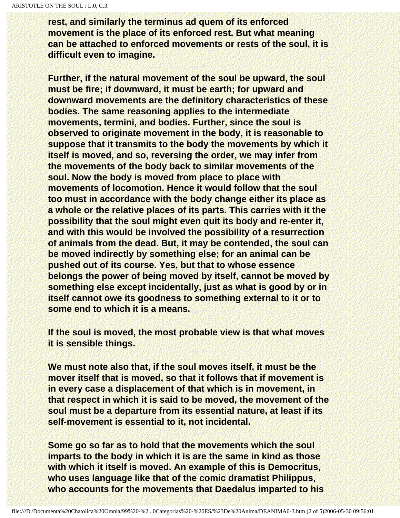**rest, and similarly the terminus ad quem of its enforced movement is the place of its enforced rest. But what meaning can be attached to enforced movements or rests of the soul, it is difficult even to imagine.** 

**Further, if the natural movement of the soul be upward, the soul must be fire; if downward, it must be earth; for upward and downward movements are the definitory characteristics of these bodies. The same reasoning applies to the intermediate movements, termini, and bodies. Further, since the soul is observed to originate movement in the body, it is reasonable to suppose that it transmits to the body the movements by which it itself is moved, and so, reversing the order, we may infer from the movements of the body back to similar movements of the soul. Now the body is moved from place to place with movements of locomotion. Hence it would follow that the soul too must in accordance with the body change either its place as a whole or the relative places of its parts. This carries with it the possibility that the soul might even quit its body and re-enter it, and with this would be involved the possibility of a resurrection of animals from the dead. But, it may be contended, the soul can be moved indirectly by something else; for an animal can be pushed out of its course. Yes, but that to whose essence belongs the power of being moved by itself, cannot be moved by something else except incidentally, just as what is good by or in itself cannot owe its goodness to something external to it or to some end to which it is a means.** 

**If the soul is moved, the most probable view is that what moves it is sensible things.** 

**We must note also that, if the soul moves itself, it must be the mover itself that is moved, so that it follows that if movement is in every case a displacement of that which is in movement, in that respect in which it is said to be moved, the movement of the soul must be a departure from its essential nature, at least if its self-movement is essential to it, not incidental.** 

**Some go so far as to hold that the movements which the soul imparts to the body in which it is are the same in kind as those with which it itself is moved. An example of this is Democritus, who uses language like that of the comic dramatist Philippus, who accounts for the movements that Daedalus imparted to his**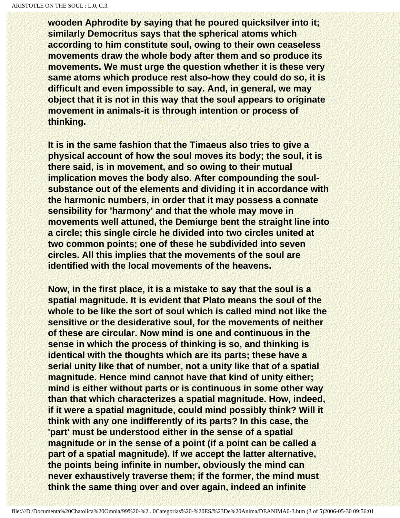**wooden Aphrodite by saying that he poured quicksilver into it; similarly Democritus says that the spherical atoms which according to him constitute soul, owing to their own ceaseless movements draw the whole body after them and so produce its movements. We must urge the question whether it is these very same atoms which produce rest also-how they could do so, it is difficult and even impossible to say. And, in general, we may object that it is not in this way that the soul appears to originate movement in animals-it is through intention or process of thinking.** 

**It is in the same fashion that the Timaeus also tries to give a physical account of how the soul moves its body; the soul, it is there said, is in movement, and so owing to their mutual implication moves the body also. After compounding the soulsubstance out of the elements and dividing it in accordance with the harmonic numbers, in order that it may possess a connate sensibility for 'harmony' and that the whole may move in movements well attuned, the Demiurge bent the straight line into a circle; this single circle he divided into two circles united at two common points; one of these he subdivided into seven circles. All this implies that the movements of the soul are identified with the local movements of the heavens.** 

**Now, in the first place, it is a mistake to say that the soul is a spatial magnitude. It is evident that Plato means the soul of the whole to be like the sort of soul which is called mind not like the sensitive or the desiderative soul, for the movements of neither of these are circular. Now mind is one and continuous in the sense in which the process of thinking is so, and thinking is identical with the thoughts which are its parts; these have a serial unity like that of number, not a unity like that of a spatial magnitude. Hence mind cannot have that kind of unity either; mind is either without parts or is continuous in some other way than that which characterizes a spatial magnitude. How, indeed, if it were a spatial magnitude, could mind possibly think? Will it think with any one indifferently of its parts? In this case, the 'part' must be understood either in the sense of a spatial magnitude or in the sense of a point (if a point can be called a part of a spatial magnitude). If we accept the latter alternative, the points being infinite in number, obviously the mind can never exhaustively traverse them; if the former, the mind must think the same thing over and over again, indeed an infinite**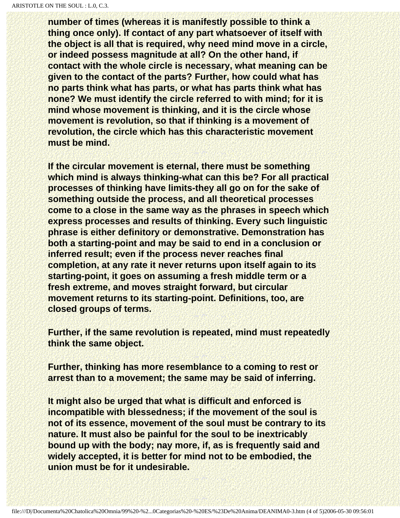**number of times (whereas it is manifestly possible to think a thing once only). If contact of any part whatsoever of itself with the object is all that is required, why need mind move in a circle, or indeed possess magnitude at all? On the other hand, if contact with the whole circle is necessary, what meaning can be given to the contact of the parts? Further, how could what has no parts think what has parts, or what has parts think what has none? We must identify the circle referred to with mind; for it is mind whose movement is thinking, and it is the circle whose movement is revolution, so that if thinking is a movement of revolution, the circle which has this characteristic movement must be mind.** 

**If the circular movement is eternal, there must be something which mind is always thinking-what can this be? For all practical processes of thinking have limits-they all go on for the sake of something outside the process, and all theoretical processes come to a close in the same way as the phrases in speech which express processes and results of thinking. Every such linguistic phrase is either definitory or demonstrative. Demonstration has both a starting-point and may be said to end in a conclusion or inferred result; even if the process never reaches final completion, at any rate it never returns upon itself again to its starting-point, it goes on assuming a fresh middle term or a fresh extreme, and moves straight forward, but circular movement returns to its starting-point. Definitions, too, are closed groups of terms.** 

**Further, if the same revolution is repeated, mind must repeatedly think the same object.** 

**Further, thinking has more resemblance to a coming to rest or arrest than to a movement; the same may be said of inferring.** 

**It might also be urged that what is difficult and enforced is incompatible with blessedness; if the movement of the soul is not of its essence, movement of the soul must be contrary to its nature. It must also be painful for the soul to be inextricably bound up with the body; nay more, if, as is frequently said and widely accepted, it is better for mind not to be embodied, the union must be for it undesirable.**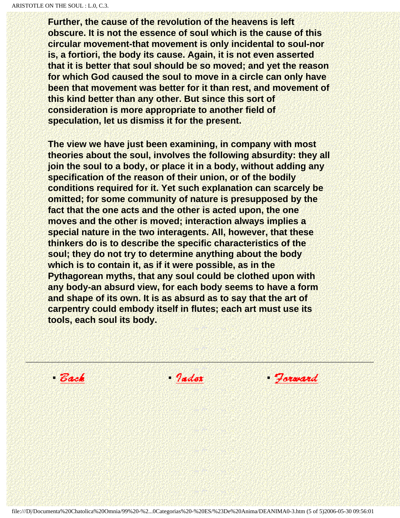**Further, the cause of the revolution of the heavens is left obscure. It is not the essence of soul which is the cause of this circular movement-that movement is only incidental to soul-nor is, a fortiori, the body its cause. Again, it is not even asserted that it is better that soul should be so moved; and yet the reason for which God caused the soul to move in a circle can only have been that movement was better for it than rest, and movement of this kind better than any other. But since this sort of consideration is more appropriate to another field of speculation, let us dismiss it for the present.** 

**The view we have just been examining, in company with most theories about the soul, involves the following absurdity: they all join the soul to a body, or place it in a body, without adding any specification of the reason of their union, or of the bodily conditions required for it. Yet such explanation can scarcely be omitted; for some community of nature is presupposed by the fact that the one acts and the other is acted upon, the one moves and the other is moved; interaction always implies a special nature in the two interagents. All, however, that these thinkers do is to describe the specific characteristics of the soul; they do not try to determine anything about the body which is to contain it, as if it were possible, as in the Pythagorean myths, that any soul could be clothed upon with any body-an absurd view, for each body seems to have a form and shape of its own. It is as absurd as to say that the art of carpentry could embody itself in flutes; each art must use its tools, each soul its body.** 

Back

Jadox

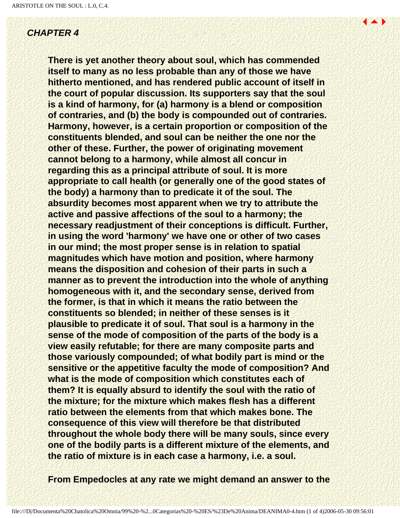#### <span id="page-18-0"></span>**CHAPTER 4**



 $\blacktriangle$ 

**From Empedocles at any rate we might demand an answer to the**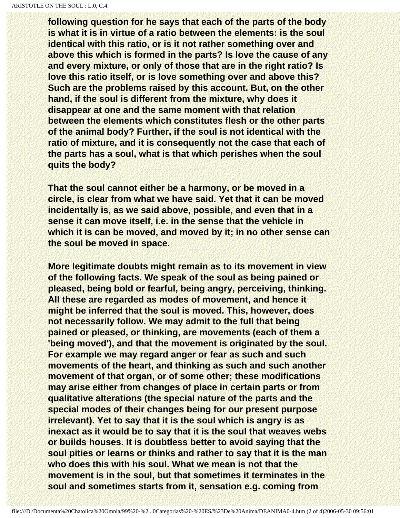**following question for he says that each of the parts of the body is what it is in virtue of a ratio between the elements: is the soul identical with this ratio, or is it not rather something over and above this which is formed in the parts? Is love the cause of any and every mixture, or only of those that are in the right ratio? Is love this ratio itself, or is love something over and above this? Such are the problems raised by this account. But, on the other hand, if the soul is different from the mixture, why does it disappear at one and the same moment with that relation between the elements which constitutes flesh or the other parts of the animal body? Further, if the soul is not identical with the ratio of mixture, and it is consequently not the case that each of the parts has a soul, what is that which perishes when the soul quits the body?** 

**That the soul cannot either be a harmony, or be moved in a circle, is clear from what we have said. Yet that it can be moved incidentally is, as we said above, possible, and even that in a sense it can move itself, i.e. in the sense that the vehicle in which it is can be moved, and moved by it; in no other sense can the soul be moved in space.** 

**More legitimate doubts might remain as to its movement in view of the following facts. We speak of the soul as being pained or pleased, being bold or fearful, being angry, perceiving, thinking. All these are regarded as modes of movement, and hence it might be inferred that the soul is moved. This, however, does not necessarily follow. We may admit to the full that being pained or pleased, or thinking, are movements (each of them a 'being moved'), and that the movement is originated by the soul. For example we may regard anger or fear as such and such movements of the heart, and thinking as such and such another movement of that organ, or of some other; these modifications may arise either from changes of place in certain parts or from qualitative alterations (the special nature of the parts and the special modes of their changes being for our present purpose irrelevant). Yet to say that it is the soul which is angry is as inexact as it would be to say that it is the soul that weaves webs or builds houses. It is doubtless better to avoid saying that the soul pities or learns or thinks and rather to say that it is the man who does this with his soul. What we mean is not that the movement is in the soul, but that sometimes it terminates in the soul and sometimes starts from it, sensation e.g. coming from**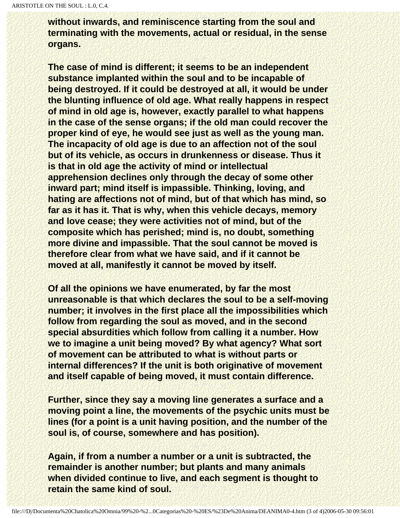**without inwards, and reminiscence starting from the soul and terminating with the movements, actual or residual, in the sense organs.** 

**The case of mind is different; it seems to be an independent substance implanted within the soul and to be incapable of being destroyed. If it could be destroyed at all, it would be under the blunting influence of old age. What really happens in respect of mind in old age is, however, exactly parallel to what happens in the case of the sense organs; if the old man could recover the proper kind of eye, he would see just as well as the young man. The incapacity of old age is due to an affection not of the soul but of its vehicle, as occurs in drunkenness or disease. Thus it is that in old age the activity of mind or intellectual apprehension declines only through the decay of some other inward part; mind itself is impassible. Thinking, loving, and hating are affections not of mind, but of that which has mind, so far as it has it. That is why, when this vehicle decays, memory and love cease; they were activities not of mind, but of the composite which has perished; mind is, no doubt, something more divine and impassible. That the soul cannot be moved is therefore clear from what we have said, and if it cannot be moved at all, manifestly it cannot be moved by itself.** 

**Of all the opinions we have enumerated, by far the most unreasonable is that which declares the soul to be a self-moving number; it involves in the first place all the impossibilities which follow from regarding the soul as moved, and in the second special absurdities which follow from calling it a number. How we to imagine a unit being moved? By what agency? What sort of movement can be attributed to what is without parts or internal differences? If the unit is both originative of movement and itself capable of being moved, it must contain difference.** 

**Further, since they say a moving line generates a surface and a moving point a line, the movements of the psychic units must be lines (for a point is a unit having position, and the number of the soul is, of course, somewhere and has position).** 

**Again, if from a number a number or a unit is subtracted, the remainder is another number; but plants and many animals when divided continue to live, and each segment is thought to retain the same kind of soul.**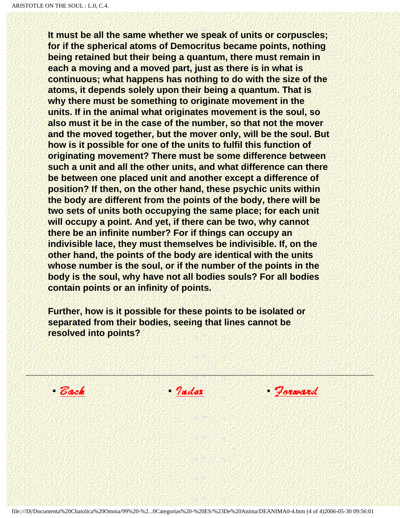**It must be all the same whether we speak of units or corpuscles; for if the spherical atoms of Democritus became points, nothing being retained but their being a quantum, there must remain in each a moving and a moved part, just as there is in what is continuous; what happens has nothing to do with the size of the atoms, it depends solely upon their being a quantum. That is why there must be something to originate movement in the units. If in the animal what originates movement is the soul, so also must it be in the case of the number, so that not the mover and the moved together, but the mover only, will be the soul. But how is it possible for one of the units to fulfil this function of originating movement? There must be some difference between such a unit and all the other units, and what difference can there be between one placed unit and another except a difference of position? If then, on the other hand, these psychic units within the body are different from the points of the body, there will be two sets of units both occupying the same place; for each unit will occupy a point. And yet, if there can be two, why cannot there be an infinite number? For if things can occupy an indivisible lace, they must themselves be indivisible. If, on the other hand, the points of the body are identical with the units whose number is the soul, or if the number of the points in the body is the soul, why have not all bodies souls? For all bodies contain points or an infinity of points.** 

**Further, how is it possible for these points to be isolated or separated from their bodies, seeing that lines cannot be resolved into points?** 





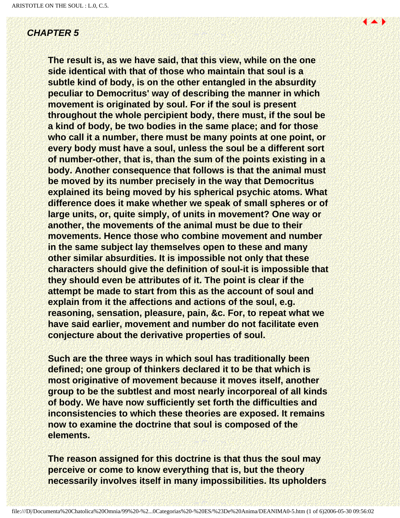#### <span id="page-22-0"></span>**CHAPTER 5**

**The result is, as we have said, that this view, while on the one side identical with that of those who maintain that soul is a subtle kind of body, is on the other entangled in the absurdity peculiar to Democritus' way of describing the manner in which movement is originated by soul. For if the soul is present throughout the whole percipient body, there must, if the soul be a kind of body, be two bodies in the same place; and for those who call it a number, there must be many points at one point, or every body must have a soul, unless the soul be a different sort of number-other, that is, than the sum of the points existing in a body. Another consequence that follows is that the animal must be moved by its number precisely in the way that Democritus explained its being moved by his spherical psychic atoms. What difference does it make whether we speak of small spheres or of large units, or, quite simply, of units in movement? One way or another, the movements of the animal must be due to their movements. Hence those who combine movement and number in the same subject lay themselves open to these and many other similar absurdities. It is impossible not only that these characters should give the definition of soul-it is impossible that they should even be attributes of it. The point is clear if the attempt be made to start from this as the account of soul and explain from it the affections and actions of the soul, e.g. reasoning, sensation, pleasure, pain, &c. For, to repeat what we have said earlier, movement and number do not facilitate even conjecture about the derivative properties of soul.** 

 $\Delta$ 

**Such are the three ways in which soul has traditionally been defined; one group of thinkers declared it to be that which is most originative of movement because it moves itself, another group to be the subtlest and most nearly incorporeal of all kinds of body. We have now sufficiently set forth the difficulties and inconsistencies to which these theories are exposed. It remains now to examine the doctrine that soul is composed of the elements.** 

**The reason assigned for this doctrine is that thus the soul may perceive or come to know everything that is, but the theory necessarily involves itself in many impossibilities. Its upholders**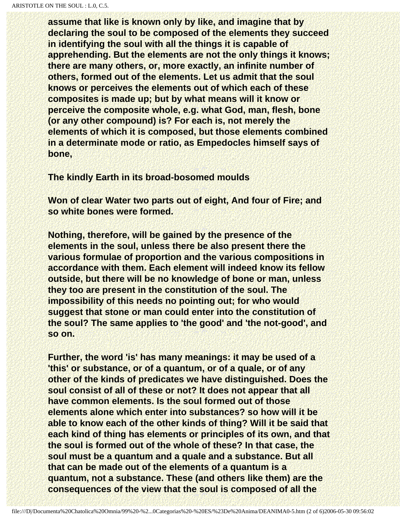**assume that like is known only by like, and imagine that by declaring the soul to be composed of the elements they succeed in identifying the soul with all the things it is capable of apprehending. But the elements are not the only things it knows; there are many others, or, more exactly, an infinite number of others, formed out of the elements. Let us admit that the soul knows or perceives the elements out of which each of these composites is made up; but by what means will it know or perceive the composite whole, e.g. what God, man, flesh, bone (or any other compound) is? For each is, not merely the elements of which it is composed, but those elements combined in a determinate mode or ratio, as Empedocles himself says of bone,** 

**The kindly Earth in its broad-bosomed moulds** 

**Won of clear Water two parts out of eight, And four of Fire; and so white bones were formed.** 

**Nothing, therefore, will be gained by the presence of the elements in the soul, unless there be also present there the various formulae of proportion and the various compositions in accordance with them. Each element will indeed know its fellow outside, but there will be no knowledge of bone or man, unless they too are present in the constitution of the soul. The impossibility of this needs no pointing out; for who would suggest that stone or man could enter into the constitution of the soul? The same applies to 'the good' and 'the not-good', and so on.** 

**Further, the word 'is' has many meanings: it may be used of a 'this' or substance, or of a quantum, or of a quale, or of any other of the kinds of predicates we have distinguished. Does the soul consist of all of these or not? It does not appear that all have common elements. Is the soul formed out of those elements alone which enter into substances? so how will it be able to know each of the other kinds of thing? Will it be said that each kind of thing has elements or principles of its own, and that the soul is formed out of the whole of these? In that case, the soul must be a quantum and a quale and a substance. But all that can be made out of the elements of a quantum is a quantum, not a substance. These (and others like them) are the consequences of the view that the soul is composed of all the**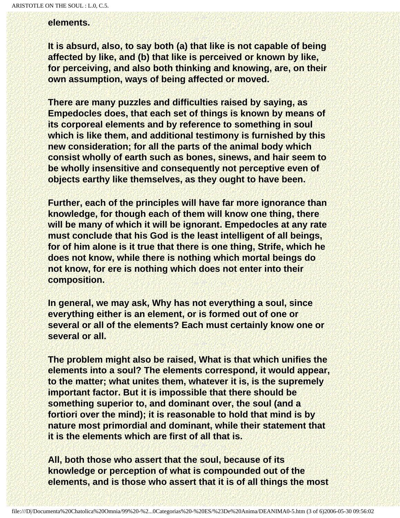#### **elements.**

**It is absurd, also, to say both (a) that like is not capable of being affected by like, and (b) that like is perceived or known by like, for perceiving, and also both thinking and knowing, are, on their own assumption, ways of being affected or moved.** 

**There are many puzzles and difficulties raised by saying, as Empedocles does, that each set of things is known by means of its corporeal elements and by reference to something in soul which is like them, and additional testimony is furnished by this new consideration; for all the parts of the animal body which consist wholly of earth such as bones, sinews, and hair seem to be wholly insensitive and consequently not perceptive even of objects earthy like themselves, as they ought to have been.** 

**Further, each of the principles will have far more ignorance than knowledge, for though each of them will know one thing, there will be many of which it will be ignorant. Empedocles at any rate must conclude that his God is the least intelligent of all beings, for of him alone is it true that there is one thing, Strife, which he does not know, while there is nothing which mortal beings do not know, for ere is nothing which does not enter into their composition.** 

**In general, we may ask, Why has not everything a soul, since everything either is an element, or is formed out of one or several or all of the elements? Each must certainly know one or several or all.** 

**The problem might also be raised, What is that which unifies the elements into a soul? The elements correspond, it would appear, to the matter; what unites them, whatever it is, is the supremely important factor. But it is impossible that there should be something superior to, and dominant over, the soul (and a fortiori over the mind); it is reasonable to hold that mind is by nature most primordial and dominant, while their statement that it is the elements which are first of all that is.** 

**All, both those who assert that the soul, because of its knowledge or perception of what is compounded out of the elements, and is those who assert that it is of all things the most**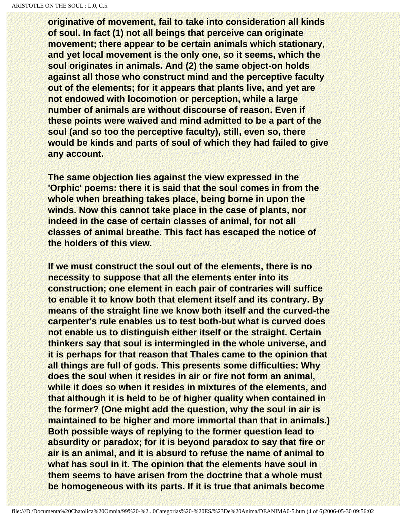**originative of movement, fail to take into consideration all kinds of soul. In fact (1) not all beings that perceive can originate movement; there appear to be certain animals which stationary, and yet local movement is the only one, so it seems, which the soul originates in animals. And (2) the same object-on holds against all those who construct mind and the perceptive faculty out of the elements; for it appears that plants live, and yet are not endowed with locomotion or perception, while a large number of animals are without discourse of reason. Even if these points were waived and mind admitted to be a part of the soul (and so too the perceptive faculty), still, even so, there would be kinds and parts of soul of which they had failed to give any account.** 

**The same objection lies against the view expressed in the 'Orphic' poems: there it is said that the soul comes in from the whole when breathing takes place, being borne in upon the winds. Now this cannot take place in the case of plants, nor indeed in the case of certain classes of animal, for not all classes of animal breathe. This fact has escaped the notice of the holders of this view.** 

**If we must construct the soul out of the elements, there is no necessity to suppose that all the elements enter into its construction; one element in each pair of contraries will suffice to enable it to know both that element itself and its contrary. By means of the straight line we know both itself and the curved-the carpenter's rule enables us to test both-but what is curved does not enable us to distinguish either itself or the straight. Certain thinkers say that soul is intermingled in the whole universe, and it is perhaps for that reason that Thales came to the opinion that all things are full of gods. This presents some difficulties: Why does the soul when it resides in air or fire not form an animal, while it does so when it resides in mixtures of the elements, and that although it is held to be of higher quality when contained in the former? (One might add the question, why the soul in air is maintained to be higher and more immortal than that in animals.) Both possible ways of replying to the former question lead to absurdity or paradox; for it is beyond paradox to say that fire or air is an animal, and it is absurd to refuse the name of animal to what has soul in it. The opinion that the elements have soul in them seems to have arisen from the doctrine that a whole must be homogeneous with its parts. If it is true that animals become**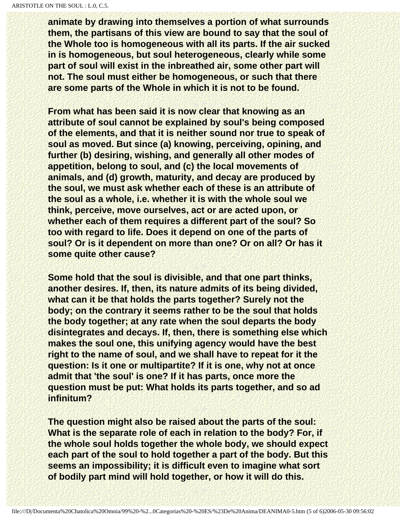**animate by drawing into themselves a portion of what surrounds them, the partisans of this view are bound to say that the soul of the Whole too is homogeneous with all its parts. If the air sucked in is homogeneous, but soul heterogeneous, clearly while some part of soul will exist in the inbreathed air, some other part will not. The soul must either be homogeneous, or such that there are some parts of the Whole in which it is not to be found.** 

**From what has been said it is now clear that knowing as an attribute of soul cannot be explained by soul's being composed of the elements, and that it is neither sound nor true to speak of soul as moved. But since (a) knowing, perceiving, opining, and further (b) desiring, wishing, and generally all other modes of appetition, belong to soul, and (c) the local movements of animals, and (d) growth, maturity, and decay are produced by the soul, we must ask whether each of these is an attribute of the soul as a whole, i.e. whether it is with the whole soul we think, perceive, move ourselves, act or are acted upon, or whether each of them requires a different part of the soul? So too with regard to life. Does it depend on one of the parts of soul? Or is it dependent on more than one? Or on all? Or has it some quite other cause?** 

**Some hold that the soul is divisible, and that one part thinks, another desires. If, then, its nature admits of its being divided, what can it be that holds the parts together? Surely not the body; on the contrary it seems rather to be the soul that holds the body together; at any rate when the soul departs the body disintegrates and decays. If, then, there is something else which makes the soul one, this unifying agency would have the best right to the name of soul, and we shall have to repeat for it the question: Is it one or multipartite? If it is one, why not at once admit that 'the soul' is one? If it has parts, once more the question must be put: What holds its parts together, and so ad infinitum?** 

**The question might also be raised about the parts of the soul: What is the separate role of each in relation to the body? For, if the whole soul holds together the whole body, we should expect each part of the soul to hold together a part of the body. But this seems an impossibility; it is difficult even to imagine what sort of bodily part mind will hold together, or how it will do this.**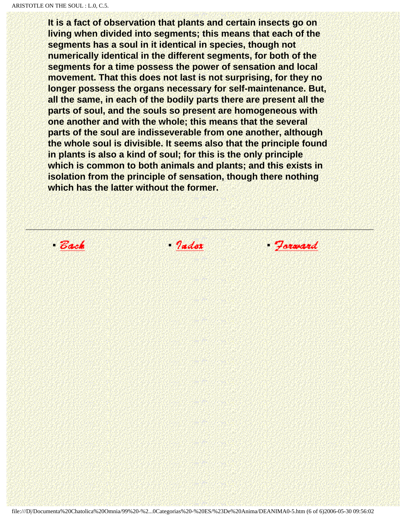**It is a fact of observation that plants and certain insects go on living when divided into segments; this means that each of the segments has a soul in it identical in species, though not numerically identical in the different segments, for both of the segments for a time possess the power of sensation and local movement. That this does not last is not surprising, for they no longer possess the organs necessary for self-maintenance. But, all the same, in each of the bodily parts there are present all the parts of soul, and the souls so present are homogeneous with one another and with the whole; this means that the several parts of the soul are indisseverable from one another, although the whole soul is divisible. It seems also that the principle found in plants is also a kind of soul; for this is the only principle which is common to both animals and plants; and this exists in isolation from the principle of sensation, though there nothing which has the latter without the former.** 



Jadox

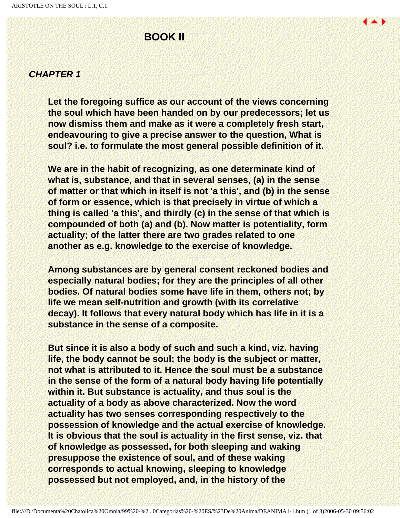

### **BOOK II**

#### <span id="page-28-0"></span>**CHAPTER 1**

**Let the foregoing suffice as our account of the views concerning the soul which have been handed on by our predecessors; let us now dismiss them and make as it were a completely fresh start, endeavouring to give a precise answer to the question, What is soul? i.e. to formulate the most general possible definition of it.** 

**We are in the habit of recognizing, as one determinate kind of what is, substance, and that in several senses, (a) in the sense of matter or that which in itself is not 'a this', and (b) in the sense of form or essence, which is that precisely in virtue of which a thing is called 'a this', and thirdly (c) in the sense of that which is compounded of both (a) and (b). Now matter is potentiality, form actuality; of the latter there are two grades related to one another as e.g. knowledge to the exercise of knowledge.** 

**Among substances are by general consent reckoned bodies and especially natural bodies; for they are the principles of all other bodies. Of natural bodies some have life in them, others not; by life we mean self-nutrition and growth (with its correlative decay). It follows that every natural body which has life in it is a substance in the sense of a composite.** 

**But since it is also a body of such and such a kind, viz. having life, the body cannot be soul; the body is the subject or matter, not what is attributed to it. Hence the soul must be a substance in the sense of the form of a natural body having life potentially within it. But substance is actuality, and thus soul is the actuality of a body as above characterized. Now the word actuality has two senses corresponding respectively to the possession of knowledge and the actual exercise of knowledge. It is obvious that the soul is actuality in the first sense, viz. that of knowledge as possessed, for both sleeping and waking presuppose the existence of soul, and of these waking corresponds to actual knowing, sleeping to knowledge possessed but not employed, and, in the history of the**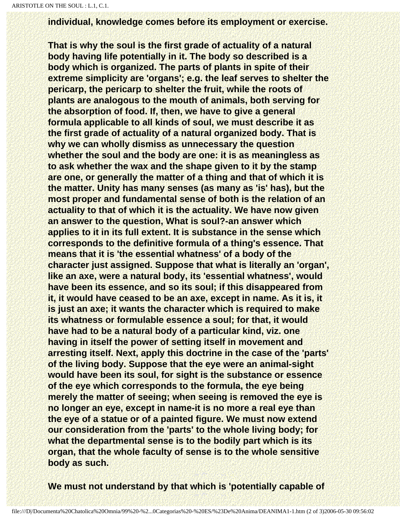**individual, knowledge comes before its employment or exercise.** 

**That is why the soul is the first grade of actuality of a natural body having life potentially in it. The body so described is a body which is organized. The parts of plants in spite of their extreme simplicity are 'organs'; e.g. the leaf serves to shelter the pericarp, the pericarp to shelter the fruit, while the roots of plants are analogous to the mouth of animals, both serving for the absorption of food. If, then, we have to give a general formula applicable to all kinds of soul, we must describe it as the first grade of actuality of a natural organized body. That is why we can wholly dismiss as unnecessary the question whether the soul and the body are one: it is as meaningless as to ask whether the wax and the shape given to it by the stamp are one, or generally the matter of a thing and that of which it is the matter. Unity has many senses (as many as 'is' has), but the most proper and fundamental sense of both is the relation of an actuality to that of which it is the actuality. We have now given an answer to the question, What is soul?-an answer which applies to it in its full extent. It is substance in the sense which corresponds to the definitive formula of a thing's essence. That means that it is 'the essential whatness' of a body of the character just assigned. Suppose that what is literally an 'organ', like an axe, were a natural body, its 'essential whatness', would have been its essence, and so its soul; if this disappeared from it, it would have ceased to be an axe, except in name. As it is, it is just an axe; it wants the character which is required to make its whatness or formulable essence a soul; for that, it would have had to be a natural body of a particular kind, viz. one having in itself the power of setting itself in movement and arresting itself. Next, apply this doctrine in the case of the 'parts' of the living body. Suppose that the eye were an animal-sight would have been its soul, for sight is the substance or essence of the eye which corresponds to the formula, the eye being merely the matter of seeing; when seeing is removed the eye is no longer an eye, except in name-it is no more a real eye than the eye of a statue or of a painted figure. We must now extend our consideration from the 'parts' to the whole living body; for what the departmental sense is to the bodily part which is its organ, that the whole faculty of sense is to the whole sensitive body as such.** 

**We must not understand by that which is 'potentially capable of**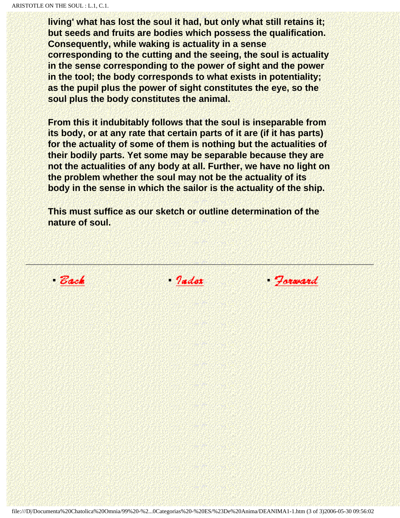**living' what has lost the soul it had, but only what still retains it; but seeds and fruits are bodies which possess the qualification. Consequently, while waking is actuality in a sense corresponding to the cutting and the seeing, the soul is actuality in the sense corresponding to the power of sight and the power in the tool; the body corresponds to what exists in potentiality; as the pupil plus the power of sight constitutes the eye, so the soul plus the body constitutes the animal.** 

**From this it indubitably follows that the soul is inseparable from its body, or at any rate that certain parts of it are (if it has parts) for the actuality of some of them is nothing but the actualities of their bodily parts. Yet some may be separable because they are not the actualities of any body at all. Further, we have no light on the problem whether the soul may not be the actuality of its body in the sense in which the sailor is the actuality of the ship.** 

**This must suffice as our sketch or outline determination of the nature of soul.** 





Forward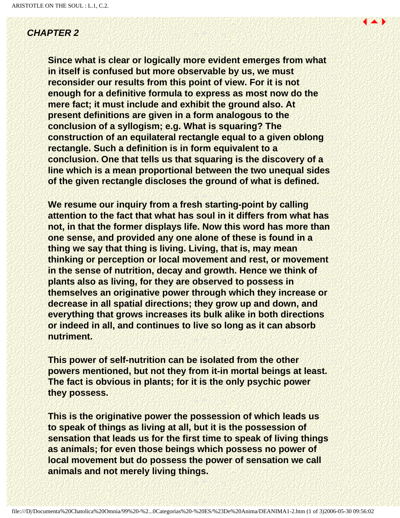#### <span id="page-31-0"></span>**CHAPTER 2**

**Since what is clear or logically more evident emerges from what in itself is confused but more observable by us, we must reconsider our results from this point of view. For it is not enough for a definitive formula to express as most now do the mere fact; it must include and exhibit the ground also. At present definitions are given in a form analogous to the conclusion of a syllogism; e.g. What is squaring? The construction of an equilateral rectangle equal to a given oblong rectangle. Such a definition is in form equivalent to a conclusion. One that tells us that squaring is the discovery of a line which is a mean proportional between the two unequal sides of the given rectangle discloses the ground of what is defined.** 

**We resume our inquiry from a fresh starting-point by calling attention to the fact that what has soul in it differs from what has not, in that the former displays life. Now this word has more than one sense, and provided any one alone of these is found in a thing we say that thing is living. Living, that is, may mean thinking or perception or local movement and rest, or movement in the sense of nutrition, decay and growth. Hence we think of plants also as living, for they are observed to possess in themselves an originative power through which they increase or decrease in all spatial directions; they grow up and down, and everything that grows increases its bulk alike in both directions or indeed in all, and continues to live so long as it can absorb nutriment.** 

**This power of self-nutrition can be isolated from the other powers mentioned, but not they from it-in mortal beings at least. The fact is obvious in plants; for it is the only psychic power they possess.** 

**This is the originative power the possession of which leads us to speak of things as living at all, but it is the possession of sensation that leads us for the first time to speak of living things as animals; for even those beings which possess no power of local movement but do possess the power of sensation we call animals and not merely living things.**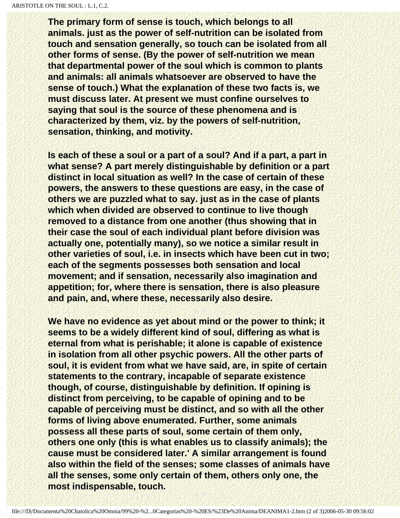**The primary form of sense is touch, which belongs to all animals. just as the power of self-nutrition can be isolated from touch and sensation generally, so touch can be isolated from all other forms of sense. (By the power of self-nutrition we mean that departmental power of the soul which is common to plants and animals: all animals whatsoever are observed to have the sense of touch.) What the explanation of these two facts is, we must discuss later. At present we must confine ourselves to saying that soul is the source of these phenomena and is characterized by them, viz. by the powers of self-nutrition, sensation, thinking, and motivity.** 

**Is each of these a soul or a part of a soul? And if a part, a part in what sense? A part merely distinguishable by definition or a part distinct in local situation as well? In the case of certain of these powers, the answers to these questions are easy, in the case of others we are puzzled what to say. just as in the case of plants which when divided are observed to continue to live though removed to a distance from one another (thus showing that in their case the soul of each individual plant before division was actually one, potentially many), so we notice a similar result in other varieties of soul, i.e. in insects which have been cut in two; each of the segments possesses both sensation and local movement; and if sensation, necessarily also imagination and appetition; for, where there is sensation, there is also pleasure and pain, and, where these, necessarily also desire.** 

**We have no evidence as yet about mind or the power to think; it seems to be a widely different kind of soul, differing as what is eternal from what is perishable; it alone is capable of existence in isolation from all other psychic powers. All the other parts of soul, it is evident from what we have said, are, in spite of certain statements to the contrary, incapable of separate existence though, of course, distinguishable by definition. If opining is distinct from perceiving, to be capable of opining and to be capable of perceiving must be distinct, and so with all the other forms of living above enumerated. Further, some animals possess all these parts of soul, some certain of them only, others one only (this is what enables us to classify animals); the cause must be considered later.' A similar arrangement is found also within the field of the senses; some classes of animals have all the senses, some only certain of them, others only one, the most indispensable, touch.**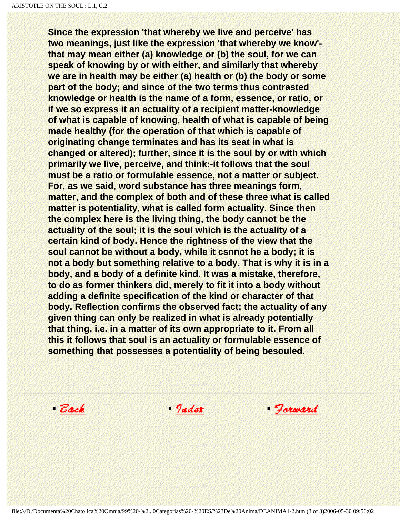**Since the expression 'that whereby we live and perceive' has two meanings, just like the expression 'that whereby we know' that may mean either (a) knowledge or (b) the soul, for we can speak of knowing by or with either, and similarly that whereby we are in health may be either (a) health or (b) the body or some part of the body; and since of the two terms thus contrasted knowledge or health is the name of a form, essence, or ratio, or if we so express it an actuality of a recipient matter-knowledge of what is capable of knowing, health of what is capable of being made healthy (for the operation of that which is capable of originating change terminates and has its seat in what is changed or altered); further, since it is the soul by or with which primarily we live, perceive, and think:-it follows that the soul must be a ratio or formulable essence, not a matter or subject. For, as we said, word substance has three meanings form, matter, and the complex of both and of these three what is called matter is potentiality, what is called form actuality. Since then the complex here is the living thing, the body cannot be the actuality of the soul; it is the soul which is the actuality of a certain kind of body. Hence the rightness of the view that the soul cannot be without a body, while it csnnot he a body; it is not a body but something relative to a body. That is why it is in a body, and a body of a definite kind. It was a mistake, therefore, to do as former thinkers did, merely to fit it into a body without adding a definite specification of the kind or character of that body. Reflection confirms the observed fact; the actuality of any given thing can only be realized in what is already potentially that thing, i.e. in a matter of its own appropriate to it. From all this it follows that soul is an actuality or formulable essence of something that possesses a potentiality of being besouled.** 





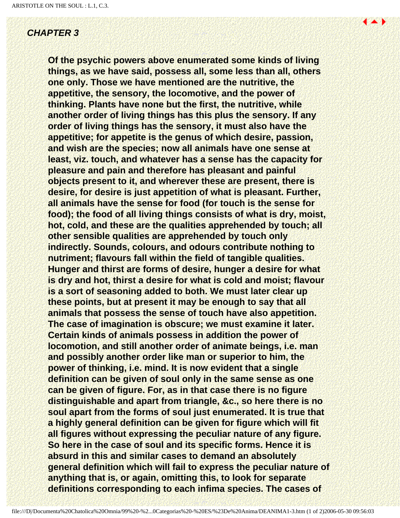#### <span id="page-34-0"></span>**CHAPTER 3**

**Of the psychic powers above enumerated some kinds of living things, as we have said, possess all, some less than all, others one only. Those we have mentioned are the nutritive, the appetitive, the sensory, the locomotive, and the power of thinking. Plants have none but the first, the nutritive, while another order of living things has this plus the sensory. If any order of living things has the sensory, it must also have the appetitive; for appetite is the genus of which desire, passion, and wish are the species; now all animals have one sense at least, viz. touch, and whatever has a sense has the capacity for pleasure and pain and therefore has pleasant and painful objects present to it, and wherever these are present, there is desire, for desire is just appetition of what is pleasant. Further, all animals have the sense for food (for touch is the sense for food); the food of all living things consists of what is dry, moist, hot, cold, and these are the qualities apprehended by touch; all other sensible qualities are apprehended by touch only indirectly. Sounds, colours, and odours contribute nothing to nutriment; flavours fall within the field of tangible qualities. Hunger and thirst are forms of desire, hunger a desire for what is dry and hot, thirst a desire for what is cold and moist; flavour is a sort of seasoning added to both. We must later clear up these points, but at present it may be enough to say that all animals that possess the sense of touch have also appetition. The case of imagination is obscure; we must examine it later. Certain kinds of animals possess in addition the power of locomotion, and still another order of animate beings, i.e. man and possibly another order like man or superior to him, the power of thinking, i.e. mind. It is now evident that a single definition can be given of soul only in the same sense as one can be given of figure. For, as in that case there is no figure distinguishable and apart from triangle, &c., so here there is no soul apart from the forms of soul just enumerated. It is true that a highly general definition can be given for figure which will fit all figures without expressing the peculiar nature of any figure. So here in the case of soul and its specific forms. Hence it is absurd in this and similar cases to demand an absolutely general definition which will fail to express the peculiar nature of anything that is, or again, omitting this, to look for separate definitions corresponding to each infima species. The cases of** 

 $\blacktriangle$ 

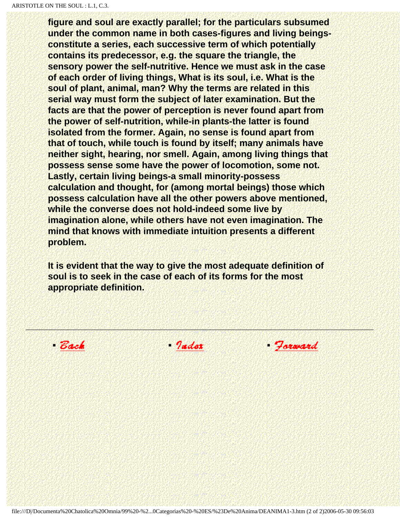**figure and soul are exactly parallel; for the particulars subsumed under the common name in both cases-figures and living beingsconstitute a series, each successive term of which potentially contains its predecessor, e.g. the square the triangle, the sensory power the self-nutritive. Hence we must ask in the case of each order of living things, What is its soul, i.e. What is the soul of plant, animal, man? Why the terms are related in this serial way must form the subject of later examination. But the facts are that the power of perception is never found apart from the power of self-nutrition, while-in plants-the latter is found isolated from the former. Again, no sense is found apart from that of touch, while touch is found by itself; many animals have neither sight, hearing, nor smell. Again, among living things that possess sense some have the power of locomotion, some not. Lastly, certain living beings-a small minority-possess calculation and thought, for (among mortal beings) those which possess calculation have all the other powers above mentioned, while the converse does not hold-indeed some live by imagination alone, while others have not even imagination. The mind that knows with immediate intuition presents a different problem.** 

**It is evident that the way to give the most adequate definition of soul is to seek in the case of each of its forms for the most appropriate definition.** 





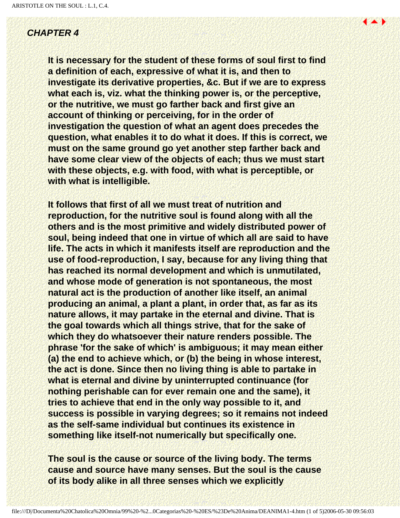## $\blacktriangle$

#### **CHAPTER 4**

**It is necessary for the student of these forms of soul first to find a definition of each, expressive of what it is, and then to investigate its derivative properties, &c. But if we are to express what each is, viz. what the thinking power is, or the perceptive, or the nutritive, we must go farther back and first give an account of thinking or perceiving, for in the order of investigation the question of what an agent does precedes the question, what enables it to do what it does. If this is correct, we must on the same ground go yet another step farther back and have some clear view of the objects of each; thus we must start with these objects, e.g. with food, with what is perceptible, or with what is intelligible.** 

**It follows that first of all we must treat of nutrition and reproduction, for the nutritive soul is found along with all the others and is the most primitive and widely distributed power of soul, being indeed that one in virtue of which all are said to have life. The acts in which it manifests itself are reproduction and the use of food-reproduction, I say, because for any living thing that has reached its normal development and which is unmutilated, and whose mode of generation is not spontaneous, the most natural act is the production of another like itself, an animal producing an animal, a plant a plant, in order that, as far as its nature allows, it may partake in the eternal and divine. That is the goal towards which all things strive, that for the sake of which they do whatsoever their nature renders possible. The phrase 'for the sake of which' is ambiguous; it may mean either (a) the end to achieve which, or (b) the being in whose interest, the act is done. Since then no living thing is able to partake in what is eternal and divine by uninterrupted continuance (for nothing perishable can for ever remain one and the same), it tries to achieve that end in the only way possible to it, and success is possible in varying degrees; so it remains not indeed as the self-same individual but continues its existence in something like itself-not numerically but specifically one.** 

**The soul is the cause or source of the living body. The terms cause and source have many senses. But the soul is the cause of its body alike in all three senses which we explicitly**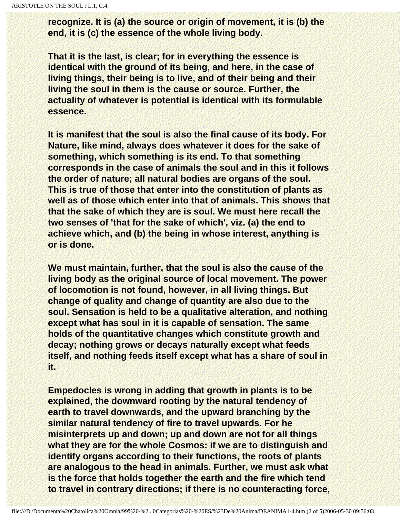**recognize. It is (a) the source or origin of movement, it is (b) the end, it is (c) the essence of the whole living body.** 

**That it is the last, is clear; for in everything the essence is identical with the ground of its being, and here, in the case of living things, their being is to live, and of their being and their living the soul in them is the cause or source. Further, the actuality of whatever is potential is identical with its formulable essence.** 

**It is manifest that the soul is also the final cause of its body. For Nature, like mind, always does whatever it does for the sake of something, which something is its end. To that something corresponds in the case of animals the soul and in this it follows the order of nature; all natural bodies are organs of the soul. This is true of those that enter into the constitution of plants as well as of those which enter into that of animals. This shows that that the sake of which they are is soul. We must here recall the two senses of 'that for the sake of which', viz. (a) the end to achieve which, and (b) the being in whose interest, anything is or is done.** 

**We must maintain, further, that the soul is also the cause of the living body as the original source of local movement. The power of locomotion is not found, however, in all living things. But change of quality and change of quantity are also due to the soul. Sensation is held to be a qualitative alteration, and nothing except what has soul in it is capable of sensation. The same holds of the quantitative changes which constitute growth and decay; nothing grows or decays naturally except what feeds itself, and nothing feeds itself except what has a share of soul in it.** 

**Empedocles is wrong in adding that growth in plants is to be explained, the downward rooting by the natural tendency of earth to travel downwards, and the upward branching by the similar natural tendency of fire to travel upwards. For he misinterprets up and down; up and down are not for all things what they are for the whole Cosmos: if we are to distinguish and identify organs according to their functions, the roots of plants are analogous to the head in animals. Further, we must ask what is the force that holds together the earth and the fire which tend to travel in contrary directions; if there is no counteracting force,**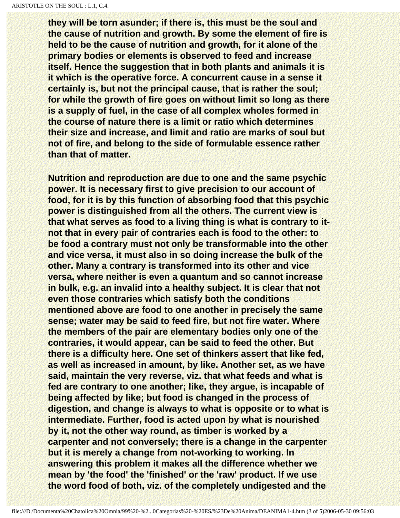**they will be torn asunder; if there is, this must be the soul and the cause of nutrition and growth. By some the element of fire is held to be the cause of nutrition and growth, for it alone of the primary bodies or elements is observed to feed and increase itself. Hence the suggestion that in both plants and animals it is it which is the operative force. A concurrent cause in a sense it certainly is, but not the principal cause, that is rather the soul; for while the growth of fire goes on without limit so long as there is a supply of fuel, in the case of all complex wholes formed in the course of nature there is a limit or ratio which determines their size and increase, and limit and ratio are marks of soul but not of fire, and belong to the side of formulable essence rather than that of matter.** 

**Nutrition and reproduction are due to one and the same psychic power. It is necessary first to give precision to our account of food, for it is by this function of absorbing food that this psychic power is distinguished from all the others. The current view is that what serves as food to a living thing is what is contrary to itnot that in every pair of contraries each is food to the other: to be food a contrary must not only be transformable into the other and vice versa, it must also in so doing increase the bulk of the other. Many a contrary is transformed into its other and vice versa, where neither is even a quantum and so cannot increase in bulk, e.g. an invalid into a healthy subject. It is clear that not even those contraries which satisfy both the conditions mentioned above are food to one another in precisely the same sense; water may be said to feed fire, but not fire water. Where the members of the pair are elementary bodies only one of the contraries, it would appear, can be said to feed the other. But there is a difficulty here. One set of thinkers assert that like fed, as well as increased in amount, by like. Another set, as we have said, maintain the very reverse, viz. that what feeds and what is fed are contrary to one another; like, they argue, is incapable of being affected by like; but food is changed in the process of digestion, and change is always to what is opposite or to what is intermediate. Further, food is acted upon by what is nourished by it, not the other way round, as timber is worked by a carpenter and not conversely; there is a change in the carpenter but it is merely a change from not-working to working. In answering this problem it makes all the difference whether we mean by 'the food' the 'finished' or the 'raw' product. If we use the word food of both, viz. of the completely undigested and the**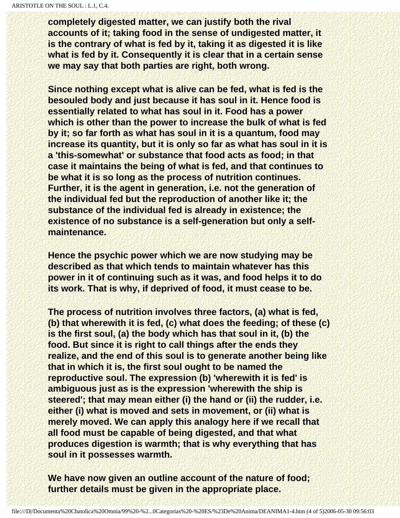**completely digested matter, we can justify both the rival accounts of it; taking food in the sense of undigested matter, it is the contrary of what is fed by it, taking it as digested it is like what is fed by it. Consequently it is clear that in a certain sense we may say that both parties are right, both wrong.** 

**Since nothing except what is alive can be fed, what is fed is the besouled body and just because it has soul in it. Hence food is essentially related to what has soul in it. Food has a power which is other than the power to increase the bulk of what is fed by it; so far forth as what has soul in it is a quantum, food may increase its quantity, but it is only so far as what has soul in it is a 'this-somewhat' or substance that food acts as food; in that case it maintains the being of what is fed, and that continues to be what it is so long as the process of nutrition continues. Further, it is the agent in generation, i.e. not the generation of the individual fed but the reproduction of another like it; the substance of the individual fed is already in existence; the existence of no substance is a self-generation but only a selfmaintenance.** 

**Hence the psychic power which we are now studying may be described as that which tends to maintain whatever has this power in it of continuing such as it was, and food helps it to do its work. That is why, if deprived of food, it must cease to be.** 

**The process of nutrition involves three factors, (a) what is fed, (b) that wherewith it is fed, (c) what does the feeding; of these (c) is the first soul, (a) the body which has that soul in it, (b) the food. But since it is right to call things after the ends they realize, and the end of this soul is to generate another being like that in which it is, the first soul ought to be named the reproductive soul. The expression (b) 'wherewith it is fed' is ambiguous just as is the expression 'wherewith the ship is steered'; that may mean either (i) the hand or (ii) the rudder, i.e. either (i) what is moved and sets in movement, or (ii) what is merely moved. We can apply this analogy here if we recall that all food must be capable of being digested, and that what produces digestion is warmth; that is why everything that has soul in it possesses warmth.** 

**We have now given an outline account of the nature of food; further details must be given in the appropriate place.**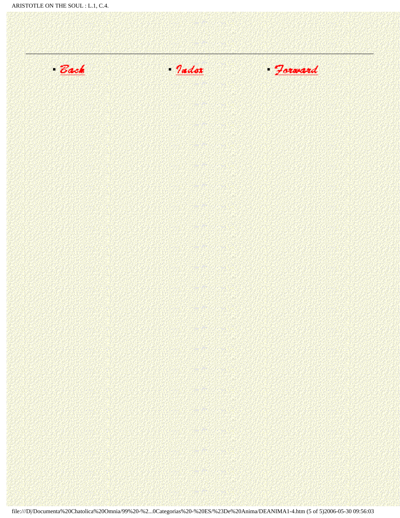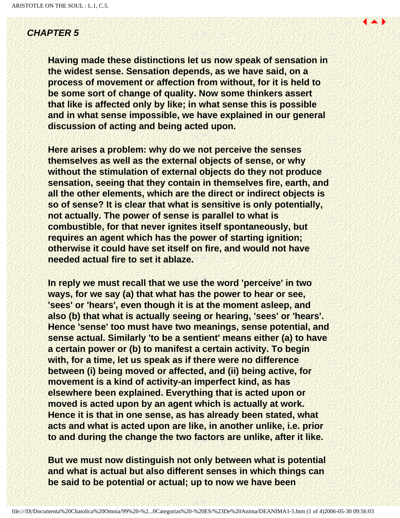ARISTOTLE ON THE SOUL : L.1, C.5.

### **CHAPTER 5**

**Having made these distinctions let us now speak of sensation in the widest sense. Sensation depends, as we have said, on a process of movement or affection from without, for it is held to be some sort of change of quality. Now some thinkers assert that like is affected only by like; in what sense this is possible and in what sense impossible, we have explained in our general discussion of acting and being acted upon.** 

**Here arises a problem: why do we not perceive the senses themselves as well as the external objects of sense, or why without the stimulation of external objects do they not produce sensation, seeing that they contain in themselves fire, earth, and all the other elements, which are the direct or indirect objects is so of sense? It is clear that what is sensitive is only potentially, not actually. The power of sense is parallel to what is combustible, for that never ignites itself spontaneously, but requires an agent which has the power of starting ignition; otherwise it could have set itself on fire, and would not have needed actual fire to set it ablaze.** 

**In reply we must recall that we use the word 'perceive' in two ways, for we say (a) that what has the power to hear or see, 'sees' or 'hears', even though it is at the moment asleep, and also (b) that what is actually seeing or hearing, 'sees' or 'hears'. Hence 'sense' too must have two meanings, sense potential, and sense actual. Similarly 'to be a sentient' means either (a) to have a certain power or (b) to manifest a certain activity. To begin with, for a time, let us speak as if there were no difference between (i) being moved or affected, and (ii) being active, for movement is a kind of activity-an imperfect kind, as has elsewhere been explained. Everything that is acted upon or moved is acted upon by an agent which is actually at work. Hence it is that in one sense, as has already been stated, what acts and what is acted upon are like, in another unlike, i.e. prior to and during the change the two factors are unlike, after it like.** 

**But we must now distinguish not only between what is potential and what is actual but also different senses in which things can be said to be potential or actual; up to now we have been**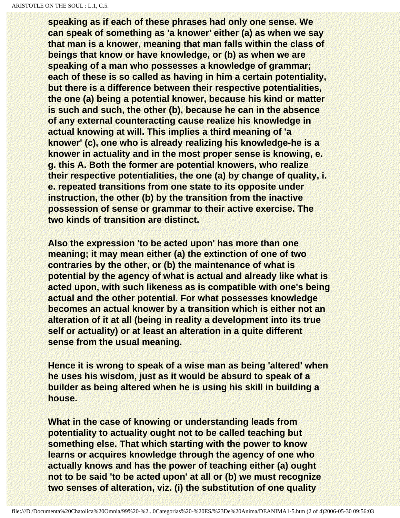**speaking as if each of these phrases had only one sense. We can speak of something as 'a knower' either (a) as when we say that man is a knower, meaning that man falls within the class of beings that know or have knowledge, or (b) as when we are speaking of a man who possesses a knowledge of grammar; each of these is so called as having in him a certain potentiality, but there is a difference between their respective potentialities, the one (a) being a potential knower, because his kind or matter is such and such, the other (b), because he can in the absence of any external counteracting cause realize his knowledge in actual knowing at will. This implies a third meaning of 'a knower' (c), one who is already realizing his knowledge-he is a knower in actuality and in the most proper sense is knowing, e. g. this A. Both the former are potential knowers, who realize their respective potentialities, the one (a) by change of quality, i. e. repeated transitions from one state to its opposite under instruction, the other (b) by the transition from the inactive possession of sense or grammar to their active exercise. The two kinds of transition are distinct.** 

**Also the expression 'to be acted upon' has more than one meaning; it may mean either (a) the extinction of one of two contraries by the other, or (b) the maintenance of what is potential by the agency of what is actual and already like what is acted upon, with such likeness as is compatible with one's being actual and the other potential. For what possesses knowledge becomes an actual knower by a transition which is either not an alteration of it at all (being in reality a development into its true self or actuality) or at least an alteration in a quite different sense from the usual meaning.** 

**Hence it is wrong to speak of a wise man as being 'altered' when he uses his wisdom, just as it would be absurd to speak of a builder as being altered when he is using his skill in building a house.** 

**What in the case of knowing or understanding leads from potentiality to actuality ought not to be called teaching but something else. That which starting with the power to know learns or acquires knowledge through the agency of one who actually knows and has the power of teaching either (a) ought not to be said 'to be acted upon' at all or (b) we must recognize two senses of alteration, viz. (i) the substitution of one quality**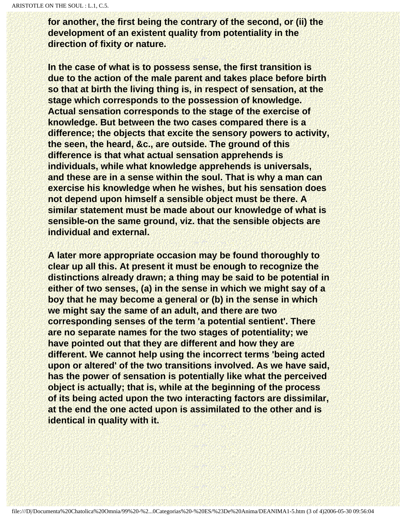**for another, the first being the contrary of the second, or (ii) the development of an existent quality from potentiality in the direction of fixity or nature.** 

**In the case of what is to possess sense, the first transition is due to the action of the male parent and takes place before birth so that at birth the living thing is, in respect of sensation, at the stage which corresponds to the possession of knowledge. Actual sensation corresponds to the stage of the exercise of knowledge. But between the two cases compared there is a difference; the objects that excite the sensory powers to activity, the seen, the heard, &c., are outside. The ground of this difference is that what actual sensation apprehends is individuals, while what knowledge apprehends is universals, and these are in a sense within the soul. That is why a man can exercise his knowledge when he wishes, but his sensation does not depend upon himself a sensible object must be there. A similar statement must be made about our knowledge of what is sensible-on the same ground, viz. that the sensible objects are individual and external.** 

**A later more appropriate occasion may be found thoroughly to clear up all this. At present it must be enough to recognize the distinctions already drawn; a thing may be said to be potential in either of two senses, (a) in the sense in which we might say of a boy that he may become a general or (b) in the sense in which we might say the same of an adult, and there are two corresponding senses of the term 'a potential sentient'. There are no separate names for the two stages of potentiality; we have pointed out that they are different and how they are different. We cannot help using the incorrect terms 'being acted upon or altered' of the two transitions involved. As we have said, has the power of sensation is potentially like what the perceived object is actually; that is, while at the beginning of the process of its being acted upon the two interacting factors are dissimilar, at the end the one acted upon is assimilated to the other and is identical in quality with it.**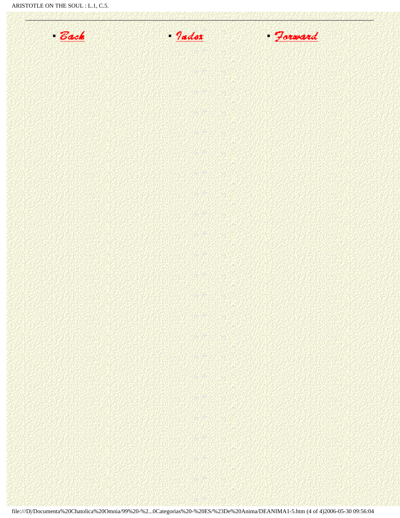



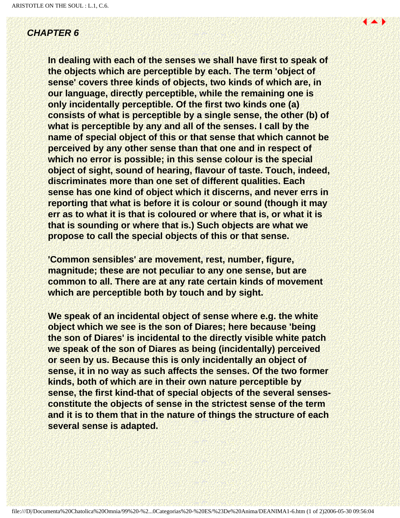### **CHAPTER 6**

**In dealing with each of the senses we shall have first to speak of the objects which are perceptible by each. The term 'object of sense' covers three kinds of objects, two kinds of which are, in our language, directly perceptible, while the remaining one is only incidentally perceptible. Of the first two kinds one (a) consists of what is perceptible by a single sense, the other (b) of what is perceptible by any and all of the senses. I call by the name of special object of this or that sense that which cannot be perceived by any other sense than that one and in respect of which no error is possible; in this sense colour is the special object of sight, sound of hearing, flavour of taste. Touch, indeed, discriminates more than one set of different qualities. Each sense has one kind of object which it discerns, and never errs in reporting that what is before it is colour or sound (though it may err as to what it is that is coloured or where that is, or what it is that is sounding or where that is.) Such objects are what we propose to call the special objects of this or that sense.** 

 $\blacktriangle$ 

**'Common sensibles' are movement, rest, number, figure, magnitude; these are not peculiar to any one sense, but are common to all. There are at any rate certain kinds of movement which are perceptible both by touch and by sight.** 

**We speak of an incidental object of sense where e.g. the white object which we see is the son of Diares; here because 'being the son of Diares' is incidental to the directly visible white patch we speak of the son of Diares as being (incidentally) perceived or seen by us. Because this is only incidentally an object of sense, it in no way as such affects the senses. Of the two former kinds, both of which are in their own nature perceptible by sense, the first kind-that of special objects of the several sensesconstitute the objects of sense in the strictest sense of the term and it is to them that in the nature of things the structure of each several sense is adapted.**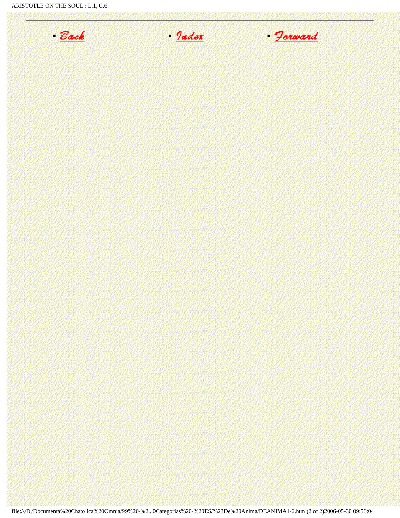



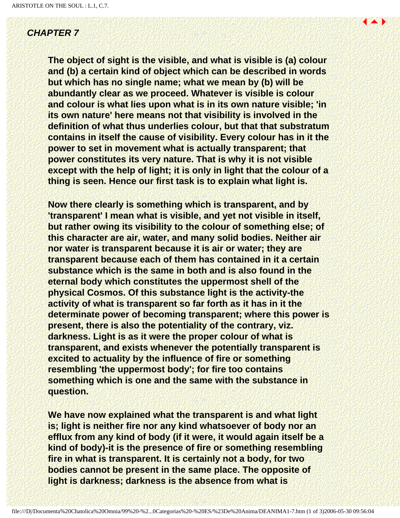### **CHAPTER 7**

**The object of sight is the visible, and what is visible is (a) colour and (b) a certain kind of object which can be described in words but which has no single name; what we mean by (b) will be abundantly clear as we proceed. Whatever is visible is colour and colour is what lies upon what is in its own nature visible; 'in its own nature' here means not that visibility is involved in the definition of what thus underlies colour, but that that substratum contains in itself the cause of visibility. Every colour has in it the power to set in movement what is actually transparent; that power constitutes its very nature. That is why it is not visible except with the help of light; it is only in light that the colour of a thing is seen. Hence our first task is to explain what light is.** 

 $\blacktriangle$ 

**Now there clearly is something which is transparent, and by 'transparent' I mean what is visible, and yet not visible in itself, but rather owing its visibility to the colour of something else; of this character are air, water, and many solid bodies. Neither air nor water is transparent because it is air or water; they are transparent because each of them has contained in it a certain substance which is the same in both and is also found in the eternal body which constitutes the uppermost shell of the physical Cosmos. Of this substance light is the activity-the activity of what is transparent so far forth as it has in it the determinate power of becoming transparent; where this power is present, there is also the potentiality of the contrary, viz. darkness. Light is as it were the proper colour of what is transparent, and exists whenever the potentially transparent is excited to actuality by the influence of fire or something resembling 'the uppermost body'; for fire too contains something which is one and the same with the substance in question.** 

**We have now explained what the transparent is and what light is; light is neither fire nor any kind whatsoever of body nor an efflux from any kind of body (if it were, it would again itself be a kind of body)-it is the presence of fire or something resembling fire in what is transparent. It is certainly not a body, for two bodies cannot be present in the same place. The opposite of light is darkness; darkness is the absence from what is**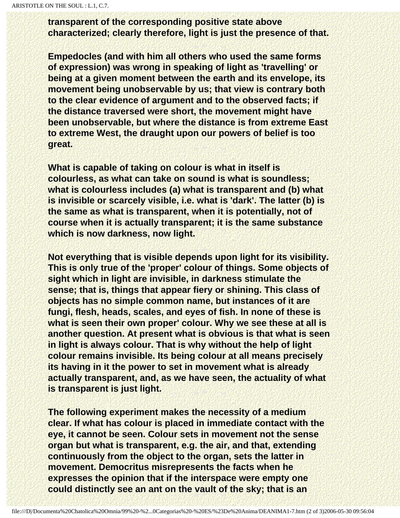**transparent of the corresponding positive state above characterized; clearly therefore, light is just the presence of that.** 

**Empedocles (and with him all others who used the same forms of expression) was wrong in speaking of light as 'travelling' or being at a given moment between the earth and its envelope, its movement being unobservable by us; that view is contrary both to the clear evidence of argument and to the observed facts; if the distance traversed were short, the movement might have been unobservable, but where the distance is from extreme East to extreme West, the draught upon our powers of belief is too great.** 

**What is capable of taking on colour is what in itself is colourless, as what can take on sound is what is soundless; what is colourless includes (a) what is transparent and (b) what is invisible or scarcely visible, i.e. what is 'dark'. The latter (b) is the same as what is transparent, when it is potentially, not of course when it is actually transparent; it is the same substance which is now darkness, now light.** 

**Not everything that is visible depends upon light for its visibility. This is only true of the 'proper' colour of things. Some objects of sight which in light are invisible, in darkness stimulate the sense; that is, things that appear fiery or shining. This class of objects has no simple common name, but instances of it are fungi, flesh, heads, scales, and eyes of fish. In none of these is what is seen their own proper' colour. Why we see these at all is another question. At present what is obvious is that what is seen in light is always colour. That is why without the help of light colour remains invisible. Its being colour at all means precisely its having in it the power to set in movement what is already actually transparent, and, as we have seen, the actuality of what is transparent is just light.** 

**The following experiment makes the necessity of a medium clear. If what has colour is placed in immediate contact with the eye, it cannot be seen. Colour sets in movement not the sense organ but what is transparent, e.g. the air, and that, extending continuously from the object to the organ, sets the latter in movement. Democritus misrepresents the facts when he expresses the opinion that if the interspace were empty one could distinctly see an ant on the vault of the sky; that is an**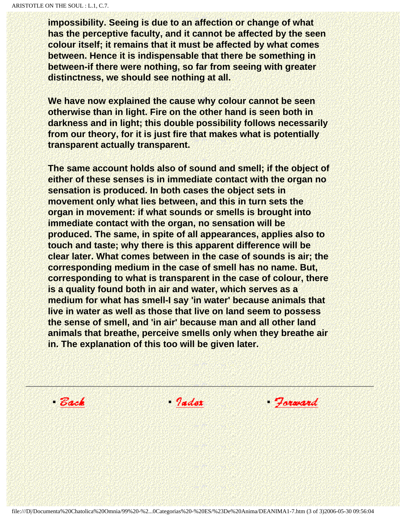**impossibility. Seeing is due to an affection or change of what has the perceptive faculty, and it cannot be affected by the seen colour itself; it remains that it must be affected by what comes between. Hence it is indispensable that there be something in between-if there were nothing, so far from seeing with greater distinctness, we should see nothing at all.** 

**We have now explained the cause why colour cannot be seen otherwise than in light. Fire on the other hand is seen both in darkness and in light; this double possibility follows necessarily from our theory, for it is just fire that makes what is potentially transparent actually transparent.** 

**The same account holds also of sound and smell; if the object of either of these senses is in immediate contact with the organ no sensation is produced. In both cases the object sets in movement only what lies between, and this in turn sets the organ in movement: if what sounds or smells is brought into immediate contact with the organ, no sensation will be produced. The same, in spite of all appearances, applies also to touch and taste; why there is this apparent difference will be clear later. What comes between in the case of sounds is air; the corresponding medium in the case of smell has no name. But, corresponding to what is transparent in the case of colour, there is a quality found both in air and water, which serves as a medium for what has smell-I say 'in water' because animals that live in water as well as those that live on land seem to possess the sense of smell, and 'in air' because man and all other land animals that breathe, perceive smells only when they breathe air in. The explanation of this too will be given later.** 



Jadox

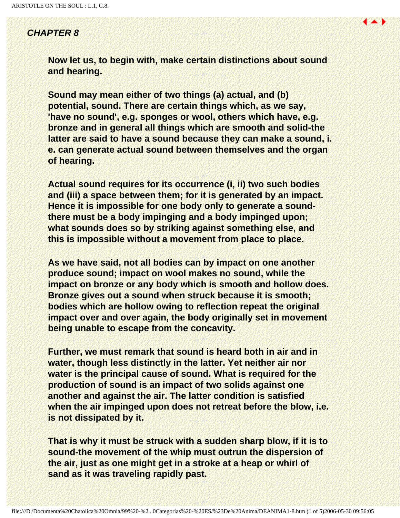ARISTOTLE ON THE SOUL : L.1, C.8.

#### **CHAPTER 8**

**Now let us, to begin with, make certain distinctions about sound and hearing.** 

 $\blacktriangle$ 

**Sound may mean either of two things (a) actual, and (b) potential, sound. There are certain things which, as we say, 'have no sound', e.g. sponges or wool, others which have, e.g. bronze and in general all things which are smooth and solid-the latter are said to have a sound because they can make a sound, i. e. can generate actual sound between themselves and the organ of hearing.** 

**Actual sound requires for its occurrence (i, ii) two such bodies and (iii) a space between them; for it is generated by an impact. Hence it is impossible for one body only to generate a soundthere must be a body impinging and a body impinged upon; what sounds does so by striking against something else, and this is impossible without a movement from place to place.** 

**As we have said, not all bodies can by impact on one another produce sound; impact on wool makes no sound, while the impact on bronze or any body which is smooth and hollow does. Bronze gives out a sound when struck because it is smooth; bodies which are hollow owing to reflection repeat the original impact over and over again, the body originally set in movement being unable to escape from the concavity.** 

**Further, we must remark that sound is heard both in air and in water, though less distinctly in the latter. Yet neither air nor water is the principal cause of sound. What is required for the production of sound is an impact of two solids against one another and against the air. The latter condition is satisfied when the air impinged upon does not retreat before the blow, i.e. is not dissipated by it.** 

**That is why it must be struck with a sudden sharp blow, if it is to sound-the movement of the whip must outrun the dispersion of the air, just as one might get in a stroke at a heap or whirl of sand as it was traveling rapidly past.**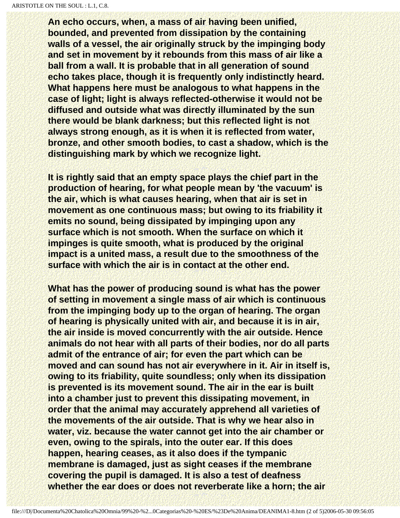**An echo occurs, when, a mass of air having been unified, bounded, and prevented from dissipation by the containing walls of a vessel, the air originally struck by the impinging body and set in movement by it rebounds from this mass of air like a ball from a wall. It is probable that in all generation of sound echo takes place, though it is frequently only indistinctly heard. What happens here must be analogous to what happens in the case of light; light is always reflected-otherwise it would not be diffused and outside what was directly illuminated by the sun there would be blank darkness; but this reflected light is not always strong enough, as it is when it is reflected from water, bronze, and other smooth bodies, to cast a shadow, which is the distinguishing mark by which we recognize light.** 

**It is rightly said that an empty space plays the chief part in the production of hearing, for what people mean by 'the vacuum' is the air, which is what causes hearing, when that air is set in movement as one continuous mass; but owing to its friability it emits no sound, being dissipated by impinging upon any surface which is not smooth. When the surface on which it impinges is quite smooth, what is produced by the original impact is a united mass, a result due to the smoothness of the surface with which the air is in contact at the other end.** 

**What has the power of producing sound is what has the power of setting in movement a single mass of air which is continuous from the impinging body up to the organ of hearing. The organ of hearing is physically united with air, and because it is in air, the air inside is moved concurrently with the air outside. Hence animals do not hear with all parts of their bodies, nor do all parts admit of the entrance of air; for even the part which can be moved and can sound has not air everywhere in it. Air in itself is, owing to its friability, quite soundless; only when its dissipation is prevented is its movement sound. The air in the ear is built into a chamber just to prevent this dissipating movement, in order that the animal may accurately apprehend all varieties of the movements of the air outside. That is why we hear also in water, viz. because the water cannot get into the air chamber or even, owing to the spirals, into the outer ear. If this does happen, hearing ceases, as it also does if the tympanic membrane is damaged, just as sight ceases if the membrane covering the pupil is damaged. It is also a test of deafness whether the ear does or does not reverberate like a horn; the air**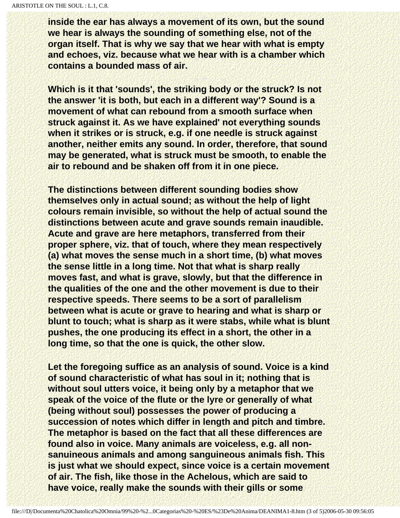**inside the ear has always a movement of its own, but the sound we hear is always the sounding of something else, not of the organ itself. That is why we say that we hear with what is empty and echoes, viz. because what we hear with is a chamber which contains a bounded mass of air.** 

**Which is it that 'sounds', the striking body or the struck? Is not the answer 'it is both, but each in a different way'? Sound is a movement of what can rebound from a smooth surface when struck against it. As we have explained' not everything sounds when it strikes or is struck, e.g. if one needle is struck against another, neither emits any sound. In order, therefore, that sound may be generated, what is struck must be smooth, to enable the air to rebound and be shaken off from it in one piece.** 

**The distinctions between different sounding bodies show themselves only in actual sound; as without the help of light colours remain invisible, so without the help of actual sound the distinctions between acute and grave sounds remain inaudible. Acute and grave are here metaphors, transferred from their proper sphere, viz. that of touch, where they mean respectively (a) what moves the sense much in a short time, (b) what moves the sense little in a long time. Not that what is sharp really moves fast, and what is grave, slowly, but that the difference in the qualities of the one and the other movement is due to their respective speeds. There seems to be a sort of parallelism between what is acute or grave to hearing and what is sharp or blunt to touch; what is sharp as it were stabs, while what is blunt pushes, the one producing its effect in a short, the other in a long time, so that the one is quick, the other slow.** 

**Let the foregoing suffice as an analysis of sound. Voice is a kind of sound characteristic of what has soul in it; nothing that is without soul utters voice, it being only by a metaphor that we speak of the voice of the flute or the lyre or generally of what (being without soul) possesses the power of producing a succession of notes which differ in length and pitch and timbre. The metaphor is based on the fact that all these differences are found also in voice. Many animals are voiceless, e.g. all nonsanuineous animals and among sanguineous animals fish. This is just what we should expect, since voice is a certain movement of air. The fish, like those in the Achelous, which are said to have voice, really make the sounds with their gills or some**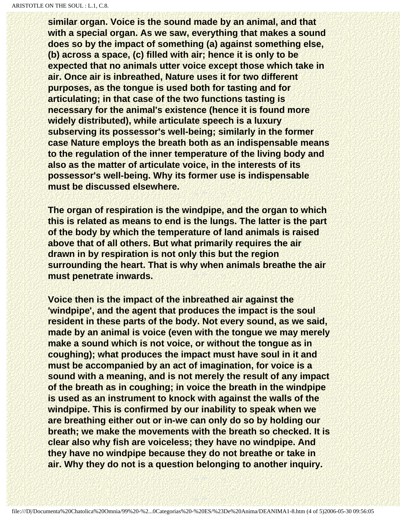**similar organ. Voice is the sound made by an animal, and that with a special organ. As we saw, everything that makes a sound does so by the impact of something (a) against something else, (b) across a space, (c) filled with air; hence it is only to be expected that no animals utter voice except those which take in air. Once air is inbreathed, Nature uses it for two different purposes, as the tongue is used both for tasting and for articulating; in that case of the two functions tasting is necessary for the animal's existence (hence it is found more widely distributed), while articulate speech is a luxury subserving its possessor's well-being; similarly in the former case Nature employs the breath both as an indispensable means to the regulation of the inner temperature of the living body and also as the matter of articulate voice, in the interests of its possessor's well-being. Why its former use is indispensable must be discussed elsewhere.** 

**The organ of respiration is the windpipe, and the organ to which this is related as means to end is the lungs. The latter is the part of the body by which the temperature of land animals is raised above that of all others. But what primarily requires the air drawn in by respiration is not only this but the region surrounding the heart. That is why when animals breathe the air must penetrate inwards.** 

**Voice then is the impact of the inbreathed air against the 'windpipe', and the agent that produces the impact is the soul resident in these parts of the body. Not every sound, as we said, made by an animal is voice (even with the tongue we may merely make a sound which is not voice, or without the tongue as in coughing); what produces the impact must have soul in it and must be accompanied by an act of imagination, for voice is a sound with a meaning, and is not merely the result of any impact of the breath as in coughing; in voice the breath in the windpipe is used as an instrument to knock with against the walls of the windpipe. This is confirmed by our inability to speak when we are breathing either out or in-we can only do so by holding our breath; we make the movements with the breath so checked. It is clear also why fish are voiceless; they have no windpipe. And they have no windpipe because they do not breathe or take in air. Why they do not is a question belonging to another inquiry.**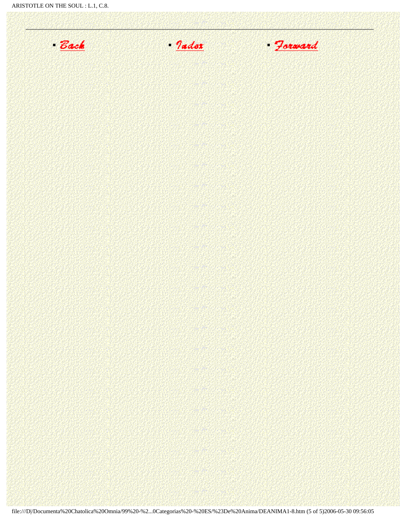



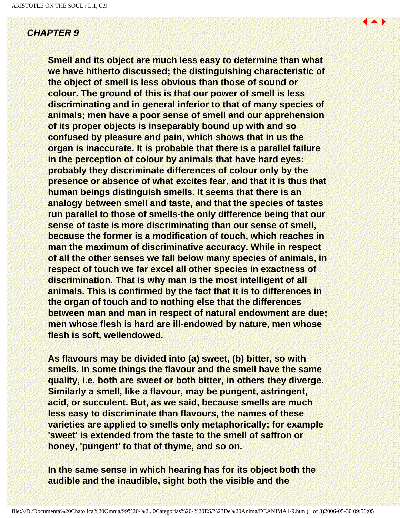### **CHAPTER 9**

**Smell and its object are much less easy to determine than what we have hitherto discussed; the distinguishing characteristic of the object of smell is less obvious than those of sound or colour. The ground of this is that our power of smell is less discriminating and in general inferior to that of many species of animals; men have a poor sense of smell and our apprehension of its proper objects is inseparably bound up with and so confused by pleasure and pain, which shows that in us the organ is inaccurate. It is probable that there is a parallel failure in the perception of colour by animals that have hard eyes: probably they discriminate differences of colour only by the presence or absence of what excites fear, and that it is thus that human beings distinguish smells. It seems that there is an analogy between smell and taste, and that the species of tastes run parallel to those of smells-the only difference being that our sense of taste is more discriminating than our sense of smell, because the former is a modification of touch, which reaches in man the maximum of discriminative accuracy. While in respect of all the other senses we fall below many species of animals, in respect of touch we far excel all other species in exactness of discrimination. That is why man is the most intelligent of all animals. This is confirmed by the fact that it is to differences in the organ of touch and to nothing else that the differences between man and man in respect of natural endowment are due; men whose flesh is hard are ill-endowed by nature, men whose flesh is soft, wellendowed.** 

 $\blacktriangle$  b

**As flavours may be divided into (a) sweet, (b) bitter, so with smells. In some things the flavour and the smell have the same quality, i.e. both are sweet or both bitter, in others they diverge. Similarly a smell, like a flavour, may be pungent, astringent, acid, or succulent. But, as we said, because smells are much less easy to discriminate than flavours, the names of these varieties are applied to smells only metaphorically; for example 'sweet' is extended from the taste to the smell of saffron or honey, 'pungent' to that of thyme, and so on.** 

**In the same sense in which hearing has for its object both the audible and the inaudible, sight both the visible and the**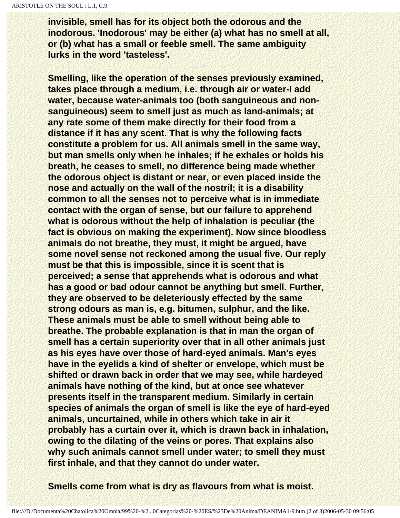**invisible, smell has for its object both the odorous and the inodorous. 'Inodorous' may be either (a) what has no smell at all, or (b) what has a small or feeble smell. The same ambiguity lurks in the word 'tasteless'.** 

**Smelling, like the operation of the senses previously examined, takes place through a medium, i.e. through air or water-I add water, because water-animals too (both sanguineous and nonsanguineous) seem to smell just as much as land-animals; at any rate some of them make directly for their food from a distance if it has any scent. That is why the following facts constitute a problem for us. All animals smell in the same way, but man smells only when he inhales; if he exhales or holds his breath, he ceases to smell, no difference being made whether the odorous object is distant or near, or even placed inside the nose and actually on the wall of the nostril; it is a disability common to all the senses not to perceive what is in immediate contact with the organ of sense, but our failure to apprehend what is odorous without the help of inhalation is peculiar (the fact is obvious on making the experiment). Now since bloodless animals do not breathe, they must, it might be argued, have some novel sense not reckoned among the usual five. Our reply must be that this is impossible, since it is scent that is perceived; a sense that apprehends what is odorous and what has a good or bad odour cannot be anything but smell. Further, they are observed to be deleteriously effected by the same strong odours as man is, e.g. bitumen, sulphur, and the like. These animals must be able to smell without being able to breathe. The probable explanation is that in man the organ of smell has a certain superiority over that in all other animals just as his eyes have over those of hard-eyed animals. Man's eyes have in the eyelids a kind of shelter or envelope, which must be shifted or drawn back in order that we may see, while hardeyed animals have nothing of the kind, but at once see whatever presents itself in the transparent medium. Similarly in certain species of animals the organ of smell is like the eye of hard-eyed animals, uncurtained, while in others which take in air it probably has a curtain over it, which is drawn back in inhalation, owing to the dilating of the veins or pores. That explains also why such animals cannot smell under water; to smell they must first inhale, and that they cannot do under water.** 

**Smells come from what is dry as flavours from what is moist.**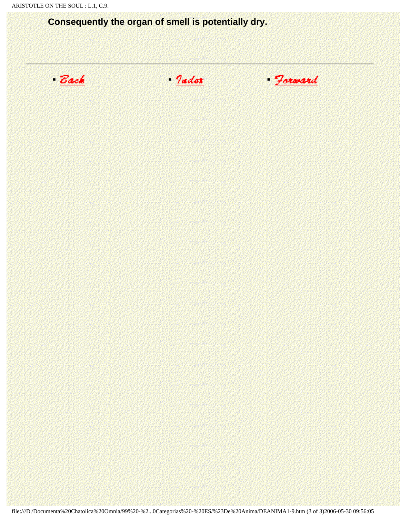





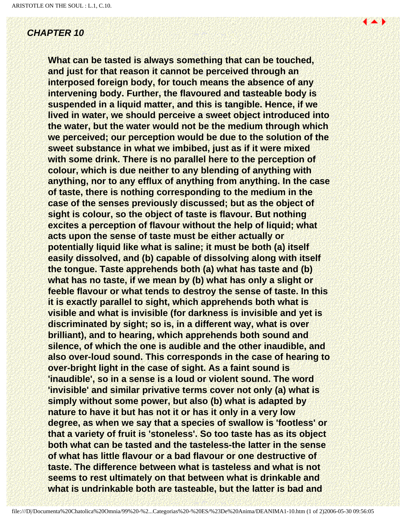#### **CHAPTER 10**

**What can be tasted is always something that can be touched, and just for that reason it cannot be perceived through an interposed foreign body, for touch means the absence of any intervening body. Further, the flavoured and tasteable body is suspended in a liquid matter, and this is tangible. Hence, if we lived in water, we should perceive a sweet object introduced into the water, but the water would not be the medium through which we perceived; our perception would be due to the solution of the sweet substance in what we imbibed, just as if it were mixed with some drink. There is no parallel here to the perception of colour, which is due neither to any blending of anything with anything, nor to any efflux of anything from anything. In the case of taste, there is nothing corresponding to the medium in the case of the senses previously discussed; but as the object of sight is colour, so the object of taste is flavour. But nothing excites a perception of flavour without the help of liquid; what acts upon the sense of taste must be either actually or potentially liquid like what is saline; it must be both (a) itself easily dissolved, and (b) capable of dissolving along with itself the tongue. Taste apprehends both (a) what has taste and (b) what has no taste, if we mean by (b) what has only a slight or feeble flavour or what tends to destroy the sense of taste. In this it is exactly parallel to sight, which apprehends both what is visible and what is invisible (for darkness is invisible and yet is discriminated by sight; so is, in a different way, what is over brilliant), and to hearing, which apprehends both sound and silence, of which the one is audible and the other inaudible, and also over-loud sound. This corresponds in the case of hearing to over-bright light in the case of sight. As a faint sound is 'inaudible', so in a sense is a loud or violent sound. The word 'invisible' and similar privative terms cover not only (a) what is simply without some power, but also (b) what is adapted by nature to have it but has not it or has it only in a very low degree, as when we say that a species of swallow is 'footless' or that a variety of fruit is 'stoneless'. So too taste has as its object both what can be tasted and the tasteless-the latter in the sense of what has little flavour or a bad flavour or one destructive of taste. The difference between what is tasteless and what is not seems to rest ultimately on that between what is drinkable and what is undrinkable both are tasteable, but the latter is bad and** 

 $\blacktriangle$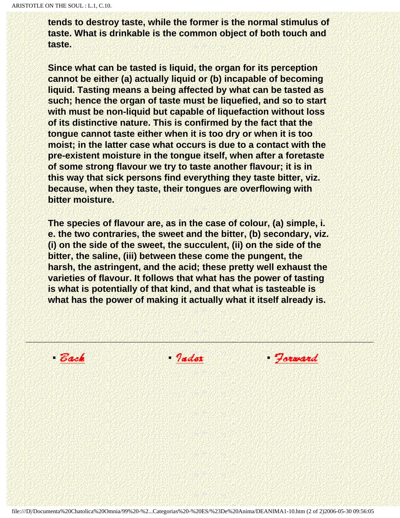**tends to destroy taste, while the former is the normal stimulus of taste. What is drinkable is the common object of both touch and taste.** 

**Since what can be tasted is liquid, the organ for its perception cannot be either (a) actually liquid or (b) incapable of becoming liquid. Tasting means a being affected by what can be tasted as such; hence the organ of taste must be liquefied, and so to start with must be non-liquid but capable of liquefaction without loss of its distinctive nature. This is confirmed by the fact that the tongue cannot taste either when it is too dry or when it is too moist; in the latter case what occurs is due to a contact with the pre-existent moisture in the tongue itself, when after a foretaste of some strong flavour we try to taste another flavour; it is in this way that sick persons find everything they taste bitter, viz. because, when they taste, their tongues are overflowing with bitter moisture.** 

**The species of flavour are, as in the case of colour, (a) simple, i. e. the two contraries, the sweet and the bitter, (b) secondary, viz. (i) on the side of the sweet, the succulent, (ii) on the side of the bitter, the saline, (iii) between these come the pungent, the harsh, the astringent, and the acid; these pretty well exhaust the varieties of flavour. It follows that what has the power of tasting is what is potentially of that kind, and that what is tasteable is what has the power of making it actually what it itself already is.** 





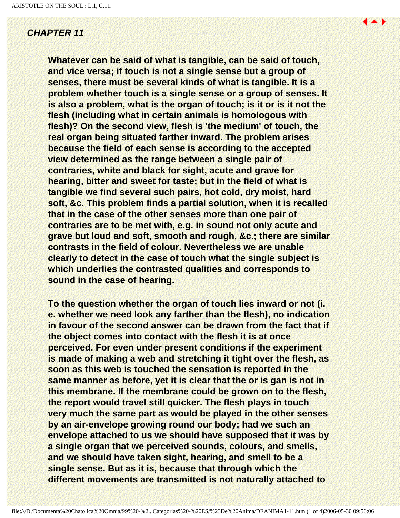#### **CHAPTER 11**

**Whatever can be said of what is tangible, can be said of touch, and vice versa; if touch is not a single sense but a group of senses, there must be several kinds of what is tangible. It is a problem whether touch is a single sense or a group of senses. It is also a problem, what is the organ of touch; is it or is it not the flesh (including what in certain animals is homologous with flesh)? On the second view, flesh is 'the medium' of touch, the real organ being situated farther inward. The problem arises because the field of each sense is according to the accepted view determined as the range between a single pair of contraries, white and black for sight, acute and grave for hearing, bitter and sweet for taste; but in the field of what is tangible we find several such pairs, hot cold, dry moist, hard soft, &c. This problem finds a partial solution, when it is recalled that in the case of the other senses more than one pair of contraries are to be met with, e.g. in sound not only acute and grave but loud and soft, smooth and rough, &c.; there are similar contrasts in the field of colour. Nevertheless we are unable clearly to detect in the case of touch what the single subject is which underlies the contrasted qualities and corresponds to sound in the case of hearing.** 

 $\blacktriangle$ 

**To the question whether the organ of touch lies inward or not (i. e. whether we need look any farther than the flesh), no indication in favour of the second answer can be drawn from the fact that if the object comes into contact with the flesh it is at once perceived. For even under present conditions if the experiment is made of making a web and stretching it tight over the flesh, as soon as this web is touched the sensation is reported in the same manner as before, yet it is clear that the or is gan is not in this membrane. If the membrane could be grown on to the flesh, the report would travel still quicker. The flesh plays in touch very much the same part as would be played in the other senses by an air-envelope growing round our body; had we such an envelope attached to us we should have supposed that it was by a single organ that we perceived sounds, colours, and smells, and we should have taken sight, hearing, and smell to be a single sense. But as it is, because that through which the different movements are transmitted is not naturally attached to**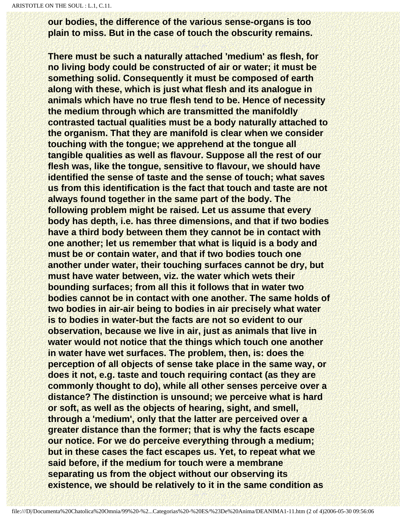**our bodies, the difference of the various sense-organs is too plain to miss. But in the case of touch the obscurity remains.** 

**There must be such a naturally attached 'medium' as flesh, for no living body could be constructed of air or water; it must be something solid. Consequently it must be composed of earth along with these, which is just what flesh and its analogue in animals which have no true flesh tend to be. Hence of necessity the medium through which are transmitted the manifoldly contrasted tactual qualities must be a body naturally attached to the organism. That they are manifold is clear when we consider touching with the tongue; we apprehend at the tongue all tangible qualities as well as flavour. Suppose all the rest of our flesh was, like the tongue, sensitive to flavour, we should have identified the sense of taste and the sense of touch; what saves us from this identification is the fact that touch and taste are not always found together in the same part of the body. The following problem might be raised. Let us assume that every body has depth, i.e. has three dimensions, and that if two bodies have a third body between them they cannot be in contact with one another; let us remember that what is liquid is a body and must be or contain water, and that if two bodies touch one another under water, their touching surfaces cannot be dry, but must have water between, viz. the water which wets their bounding surfaces; from all this it follows that in water two bodies cannot be in contact with one another. The same holds of two bodies in air-air being to bodies in air precisely what water is to bodies in water-but the facts are not so evident to our observation, because we live in air, just as animals that live in water would not notice that the things which touch one another in water have wet surfaces. The problem, then, is: does the perception of all objects of sense take place in the same way, or does it not, e.g. taste and touch requiring contact (as they are commonly thought to do), while all other senses perceive over a distance? The distinction is unsound; we perceive what is hard or soft, as well as the objects of hearing, sight, and smell, through a 'medium', only that the latter are perceived over a greater distance than the former; that is why the facts escape our notice. For we do perceive everything through a medium; but in these cases the fact escapes us. Yet, to repeat what we said before, if the medium for touch were a membrane separating us from the object without our observing its existence, we should be relatively to it in the same condition as**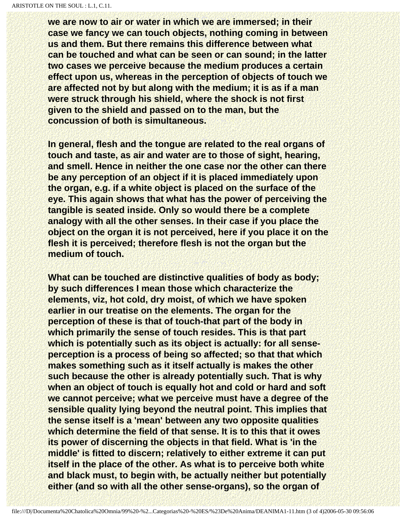**we are now to air or water in which we are immersed; in their case we fancy we can touch objects, nothing coming in between us and them. But there remains this difference between what can be touched and what can be seen or can sound; in the latter two cases we perceive because the medium produces a certain effect upon us, whereas in the perception of objects of touch we are affected not by but along with the medium; it is as if a man were struck through his shield, where the shock is not first given to the shield and passed on to the man, but the concussion of both is simultaneous.** 

**In general, flesh and the tongue are related to the real organs of touch and taste, as air and water are to those of sight, hearing, and smell. Hence in neither the one case nor the other can there be any perception of an object if it is placed immediately upon the organ, e.g. if a white object is placed on the surface of the eye. This again shows that what has the power of perceiving the tangible is seated inside. Only so would there be a complete analogy with all the other senses. In their case if you place the object on the organ it is not perceived, here if you place it on the flesh it is perceived; therefore flesh is not the organ but the medium of touch.** 

**What can be touched are distinctive qualities of body as body; by such differences I mean those which characterize the elements, viz, hot cold, dry moist, of which we have spoken earlier in our treatise on the elements. The organ for the perception of these is that of touch-that part of the body in which primarily the sense of touch resides. This is that part which is potentially such as its object is actually: for all senseperception is a process of being so affected; so that that which makes something such as it itself actually is makes the other such because the other is already potentially such. That is why when an object of touch is equally hot and cold or hard and soft we cannot perceive; what we perceive must have a degree of the sensible quality lying beyond the neutral point. This implies that the sense itself is a 'mean' between any two opposite qualities which determine the field of that sense. It is to this that it owes its power of discerning the objects in that field. What is 'in the middle' is fitted to discern; relatively to either extreme it can put itself in the place of the other. As what is to perceive both white and black must, to begin with, be actually neither but potentially either (and so with all the other sense-organs), so the organ of**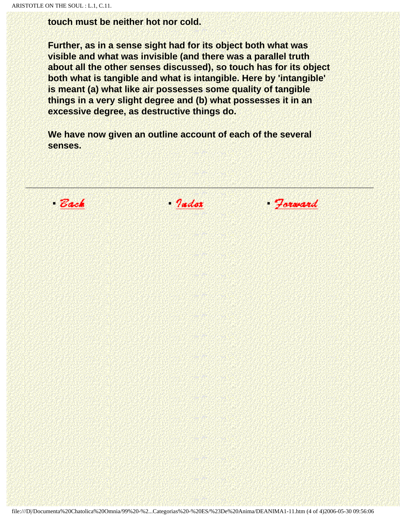#### **touch must be neither hot nor cold.**

**Further, as in a sense sight had for its object both what was visible and what was invisible (and there was a parallel truth about all the other senses discussed), so touch has for its object both what is tangible and what is intangible. Here by 'intangible' is meant (a) what like air possesses some quality of tangible things in a very slight degree and (b) what possesses it in an excessive degree, as destructive things do.** 

**We have now given an outline account of each of the several senses.** 





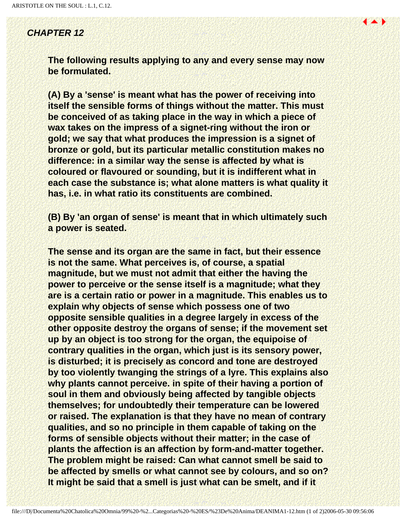# $\blacktriangle$

#### **CHAPTER 12**

**The following results applying to any and every sense may now be formulated.** 

**(A) By a 'sense' is meant what has the power of receiving into itself the sensible forms of things without the matter. This must be conceived of as taking place in the way in which a piece of wax takes on the impress of a signet-ring without the iron or gold; we say that what produces the impression is a signet of bronze or gold, but its particular metallic constitution makes no difference: in a similar way the sense is affected by what is coloured or flavoured or sounding, but it is indifferent what in each case the substance is; what alone matters is what quality it has, i.e. in what ratio its constituents are combined.** 

**(B) By 'an organ of sense' is meant that in which ultimately such a power is seated.** 

**The sense and its organ are the same in fact, but their essence is not the same. What perceives is, of course, a spatial magnitude, but we must not admit that either the having the power to perceive or the sense itself is a magnitude; what they are is a certain ratio or power in a magnitude. This enables us to explain why objects of sense which possess one of two opposite sensible qualities in a degree largely in excess of the other opposite destroy the organs of sense; if the movement set up by an object is too strong for the organ, the equipoise of contrary qualities in the organ, which just is its sensory power, is disturbed; it is precisely as concord and tone are destroyed by too violently twanging the strings of a lyre. This explains also why plants cannot perceive. in spite of their having a portion of soul in them and obviously being affected by tangible objects themselves; for undoubtedly their temperature can be lowered or raised. The explanation is that they have no mean of contrary qualities, and so no principle in them capable of taking on the forms of sensible objects without their matter; in the case of plants the affection is an affection by form-and-matter together. The problem might be raised: Can what cannot smell be said to be affected by smells or what cannot see by colours, and so on? It might be said that a smell is just what can be smelt, and if it**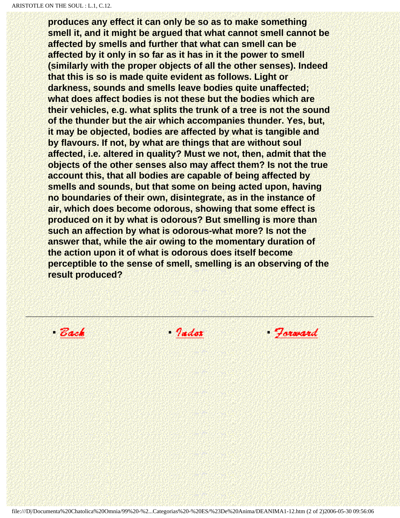**produces any effect it can only be so as to make something smell it, and it might be argued that what cannot smell cannot be affected by smells and further that what can smell can be affected by it only in so far as it has in it the power to smell (similarly with the proper objects of all the other senses). Indeed that this is so is made quite evident as follows. Light or darkness, sounds and smells leave bodies quite unaffected; what does affect bodies is not these but the bodies which are their vehicles, e.g. what splits the trunk of a tree is not the sound of the thunder but the air which accompanies thunder. Yes, but, it may be objected, bodies are affected by what is tangible and by flavours. If not, by what are things that are without soul affected, i.e. altered in quality? Must we not, then, admit that the objects of the other senses also may affect them? Is not the true account this, that all bodies are capable of being affected by smells and sounds, but that some on being acted upon, having no boundaries of their own, disintegrate, as in the instance of air, which does become odorous, showing that some effect is produced on it by what is odorous? But smelling is more than such an affection by what is odorous-what more? Is not the answer that, while the air owing to the momentary duration of the action upon it of what is odorous does itself become perceptible to the sense of smell, smelling is an observing of the result produced?** 

Back



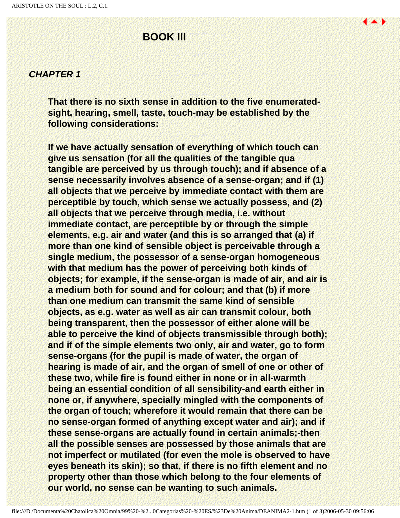

# **BOOK III**

#### **CHAPTER 1**

**That there is no sixth sense in addition to the five enumeratedsight, hearing, smell, taste, touch-may be established by the following considerations:** 

**If we have actually sensation of everything of which touch can give us sensation (for all the qualities of the tangible qua tangible are perceived by us through touch); and if absence of a sense necessarily involves absence of a sense-organ; and if (1) all objects that we perceive by immediate contact with them are perceptible by touch, which sense we actually possess, and (2) all objects that we perceive through media, i.e. without immediate contact, are perceptible by or through the simple elements, e.g. air and water (and this is so arranged that (a) if more than one kind of sensible object is perceivable through a single medium, the possessor of a sense-organ homogeneous with that medium has the power of perceiving both kinds of objects; for example, if the sense-organ is made of air, and air is a medium both for sound and for colour; and that (b) if more than one medium can transmit the same kind of sensible objects, as e.g. water as well as air can transmit colour, both being transparent, then the possessor of either alone will be able to perceive the kind of objects transmissible through both); and if of the simple elements two only, air and water, go to form sense-organs (for the pupil is made of water, the organ of hearing is made of air, and the organ of smell of one or other of these two, while fire is found either in none or in all-warmth being an essential condition of all sensibility-and earth either in none or, if anywhere, specially mingled with the components of the organ of touch; wherefore it would remain that there can be no sense-organ formed of anything except water and air); and if these sense-organs are actually found in certain animals;-then all the possible senses are possessed by those animals that are not imperfect or mutilated (for even the mole is observed to have eyes beneath its skin); so that, if there is no fifth element and no property other than those which belong to the four elements of our world, no sense can be wanting to such animals.** 

```
file:///D|/Documenta%20Chatolica%20Omnia/99%20-%2...0Categorias%20-%20ES/%23De%20Anima/DEANIMA2-1.htm (1 of 3)2006-05-30 09:56:06
```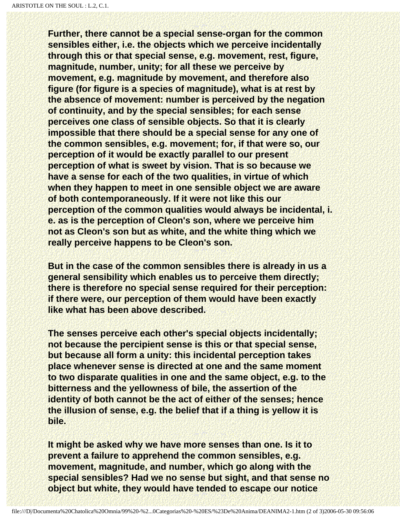**Further, there cannot be a special sense-organ for the common sensibles either, i.e. the objects which we perceive incidentally through this or that special sense, e.g. movement, rest, figure, magnitude, number, unity; for all these we perceive by movement, e.g. magnitude by movement, and therefore also figure (for figure is a species of magnitude), what is at rest by the absence of movement: number is perceived by the negation of continuity, and by the special sensibles; for each sense perceives one class of sensible objects. So that it is clearly impossible that there should be a special sense for any one of the common sensibles, e.g. movement; for, if that were so, our perception of it would be exactly parallel to our present perception of what is sweet by vision. That is so because we have a sense for each of the two qualities, in virtue of which when they happen to meet in one sensible object we are aware of both contemporaneously. If it were not like this our perception of the common qualities would always be incidental, i. e. as is the perception of Cleon's son, where we perceive him not as Cleon's son but as white, and the white thing which we really perceive happens to be Cleon's son.** 

**But in the case of the common sensibles there is already in us a general sensibility which enables us to perceive them directly; there is therefore no special sense required for their perception: if there were, our perception of them would have been exactly like what has been above described.** 

**The senses perceive each other's special objects incidentally; not because the percipient sense is this or that special sense, but because all form a unity: this incidental perception takes place whenever sense is directed at one and the same moment to two disparate qualities in one and the same object, e.g. to the bitterness and the yellowness of bile, the assertion of the identity of both cannot be the act of either of the senses; hence the illusion of sense, e.g. the belief that if a thing is yellow it is bile.** 

**It might be asked why we have more senses than one. Is it to prevent a failure to apprehend the common sensibles, e.g. movement, magnitude, and number, which go along with the special sensibles? Had we no sense but sight, and that sense no object but white, they would have tended to escape our notice**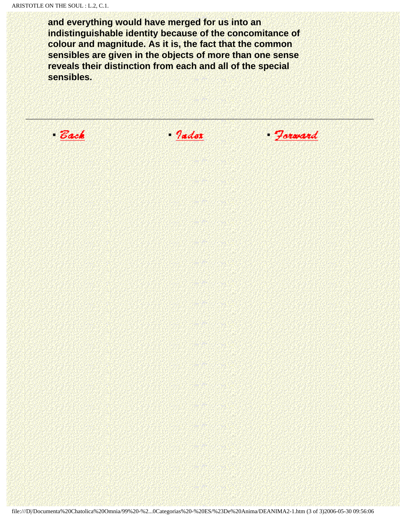**and everything would have merged for us into an indistinguishable identity because of the concomitance of colour and magnitude. As it is, the fact that the common sensibles are given in the objects of more than one sense reveals their distinction from each and all of the special sensibles.** 





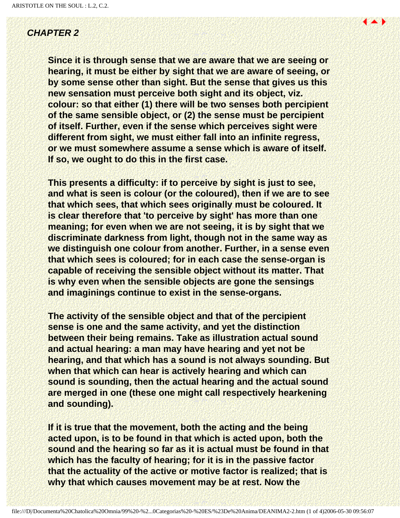# $\blacktriangle$

#### **CHAPTER 2**

**Since it is through sense that we are aware that we are seeing or hearing, it must be either by sight that we are aware of seeing, or by some sense other than sight. But the sense that gives us this new sensation must perceive both sight and its object, viz. colour: so that either (1) there will be two senses both percipient of the same sensible object, or (2) the sense must be percipient of itself. Further, even if the sense which perceives sight were different from sight, we must either fall into an infinite regress, or we must somewhere assume a sense which is aware of itself. If so, we ought to do this in the first case.** 

**This presents a difficulty: if to perceive by sight is just to see, and what is seen is colour (or the coloured), then if we are to see that which sees, that which sees originally must be coloured. It is clear therefore that 'to perceive by sight' has more than one meaning; for even when we are not seeing, it is by sight that we discriminate darkness from light, though not in the same way as we distinguish one colour from another. Further, in a sense even that which sees is coloured; for in each case the sense-organ is capable of receiving the sensible object without its matter. That is why even when the sensible objects are gone the sensings and imaginings continue to exist in the sense-organs.** 

**The activity of the sensible object and that of the percipient sense is one and the same activity, and yet the distinction between their being remains. Take as illustration actual sound and actual hearing: a man may have hearing and yet not be hearing, and that which has a sound is not always sounding. But when that which can hear is actively hearing and which can sound is sounding, then the actual hearing and the actual sound are merged in one (these one might call respectively hearkening and sounding).** 

**If it is true that the movement, both the acting and the being acted upon, is to be found in that which is acted upon, both the sound and the hearing so far as it is actual must be found in that which has the faculty of hearing; for it is in the passive factor that the actuality of the active or motive factor is realized; that is why that which causes movement may be at rest. Now the**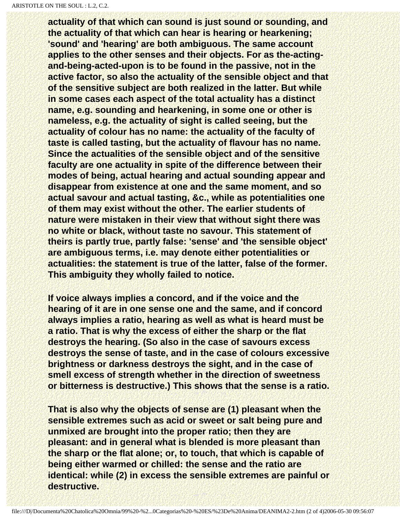**actuality of that which can sound is just sound or sounding, and the actuality of that which can hear is hearing or hearkening; 'sound' and 'hearing' are both ambiguous. The same account applies to the other senses and their objects. For as the-actingand-being-acted-upon is to be found in the passive, not in the active factor, so also the actuality of the sensible object and that of the sensitive subject are both realized in the latter. But while in some cases each aspect of the total actuality has a distinct name, e.g. sounding and hearkening, in some one or other is nameless, e.g. the actuality of sight is called seeing, but the actuality of colour has no name: the actuality of the faculty of taste is called tasting, but the actuality of flavour has no name. Since the actualities of the sensible object and of the sensitive faculty are one actuality in spite of the difference between their modes of being, actual hearing and actual sounding appear and disappear from existence at one and the same moment, and so actual savour and actual tasting, &c., while as potentialities one of them may exist without the other. The earlier students of nature were mistaken in their view that without sight there was no white or black, without taste no savour. This statement of theirs is partly true, partly false: 'sense' and 'the sensible object' are ambiguous terms, i.e. may denote either potentialities or actualities: the statement is true of the latter, false of the former. This ambiguity they wholly failed to notice.** 

**If voice always implies a concord, and if the voice and the hearing of it are in one sense one and the same, and if concord always implies a ratio, hearing as well as what is heard must be a ratio. That is why the excess of either the sharp or the flat destroys the hearing. (So also in the case of savours excess destroys the sense of taste, and in the case of colours excessive brightness or darkness destroys the sight, and in the case of smell excess of strength whether in the direction of sweetness or bitterness is destructive.) This shows that the sense is a ratio.** 

**That is also why the objects of sense are (1) pleasant when the sensible extremes such as acid or sweet or salt being pure and unmixed are brought into the proper ratio; then they are pleasant: and in general what is blended is more pleasant than the sharp or the flat alone; or, to touch, that which is capable of being either warmed or chilled: the sense and the ratio are identical: while (2) in excess the sensible extremes are painful or destructive.**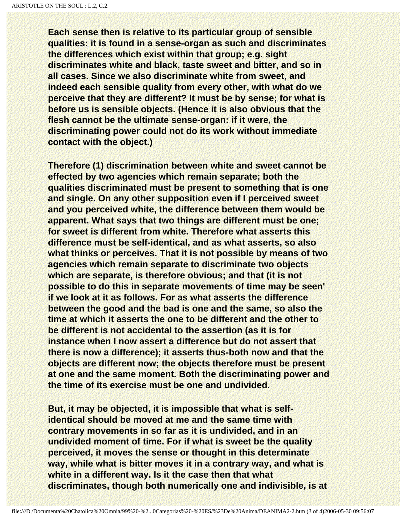**Each sense then is relative to its particular group of sensible qualities: it is found in a sense-organ as such and discriminates the differences which exist within that group; e.g. sight discriminates white and black, taste sweet and bitter, and so in all cases. Since we also discriminate white from sweet, and indeed each sensible quality from every other, with what do we perceive that they are different? It must be by sense; for what is before us is sensible objects. (Hence it is also obvious that the flesh cannot be the ultimate sense-organ: if it were, the discriminating power could not do its work without immediate contact with the object.)** 

**Therefore (1) discrimination between white and sweet cannot be effected by two agencies which remain separate; both the qualities discriminated must be present to something that is one and single. On any other supposition even if I perceived sweet and you perceived white, the difference between them would be apparent. What says that two things are different must be one; for sweet is different from white. Therefore what asserts this difference must be self-identical, and as what asserts, so also what thinks or perceives. That it is not possible by means of two agencies which remain separate to discriminate two objects which are separate, is therefore obvious; and that (it is not possible to do this in separate movements of time may be seen' if we look at it as follows. For as what asserts the difference between the good and the bad is one and the same, so also the time at which it asserts the one to be different and the other to be different is not accidental to the assertion (as it is for instance when I now assert a difference but do not assert that there is now a difference); it asserts thus-both now and that the objects are different now; the objects therefore must be present at one and the same moment. Both the discriminating power and the time of its exercise must be one and undivided.** 

**But, it may be objected, it is impossible that what is selfidentical should be moved at me and the same time with contrary movements in so far as it is undivided, and in an undivided moment of time. For if what is sweet be the quality perceived, it moves the sense or thought in this determinate way, while what is bitter moves it in a contrary way, and what is white in a different way. Is it the case then that what discriminates, though both numerically one and indivisible, is at**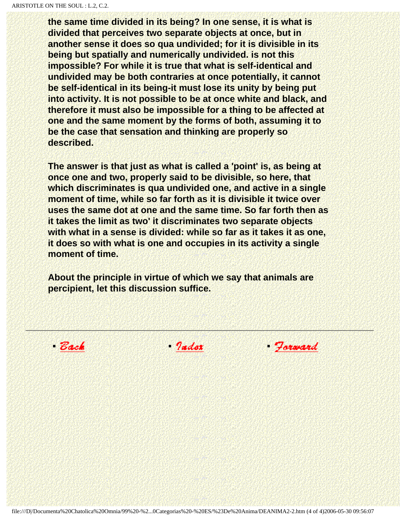**the same time divided in its being? In one sense, it is what is divided that perceives two separate objects at once, but in another sense it does so qua undivided; for it is divisible in its being but spatially and numerically undivided. is not this impossible? For while it is true that what is self-identical and undivided may be both contraries at once potentially, it cannot be self-identical in its being-it must lose its unity by being put into activity. It is not possible to be at once white and black, and therefore it must also be impossible for a thing to be affected at one and the same moment by the forms of both, assuming it to be the case that sensation and thinking are properly so described.** 

**The answer is that just as what is called a 'point' is, as being at once one and two, properly said to be divisible, so here, that which discriminates is qua undivided one, and active in a single moment of time, while so far forth as it is divisible it twice over uses the same dot at one and the same time. So far forth then as it takes the limit as two' it discriminates two separate objects with what in a sense is divided: while so far as it takes it as one, it does so with what is one and occupies in its activity a single moment of time.** 

**About the principle in virtue of which we say that animals are percipient, let this discussion suffice.** 





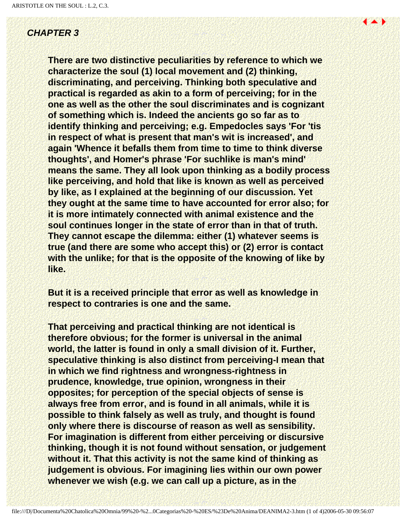**There are two distinctive peculiarities by reference to which we characterize the soul (1) local movement and (2) thinking, discriminating, and perceiving. Thinking both speculative and practical is regarded as akin to a form of perceiving; for in the one as well as the other the soul discriminates and is cognizant of something which is. Indeed the ancients go so far as to identify thinking and perceiving; e.g. Empedocles says 'For 'tis in respect of what is present that man's wit is increased', and again 'Whence it befalls them from time to time to think diverse thoughts', and Homer's phrase 'For suchlike is man's mind' means the same. They all look upon thinking as a bodily process like perceiving, and hold that like is known as well as perceived by like, as I explained at the beginning of our discussion. Yet they ought at the same time to have accounted for error also; for it is more intimately connected with animal existence and the soul continues longer in the state of error than in that of truth. They cannot escape the dilemma: either (1) whatever seems is true (and there are some who accept this) or (2) error is contact with the unlike; for that is the opposite of the knowing of like by like.** 

 $\blacktriangle$ 

**But it is a received principle that error as well as knowledge in respect to contraries is one and the same.** 

**That perceiving and practical thinking are not identical is therefore obvious; for the former is universal in the animal world, the latter is found in only a small division of it. Further, speculative thinking is also distinct from perceiving-I mean that in which we find rightness and wrongness-rightness in prudence, knowledge, true opinion, wrongness in their opposites; for perception of the special objects of sense is always free from error, and is found in all animals, while it is possible to think falsely as well as truly, and thought is found only where there is discourse of reason as well as sensibility. For imagination is different from either perceiving or discursive thinking, though it is not found without sensation, or judgement without it. That this activity is not the same kind of thinking as judgement is obvious. For imagining lies within our own power whenever we wish (e.g. we can call up a picture, as in the**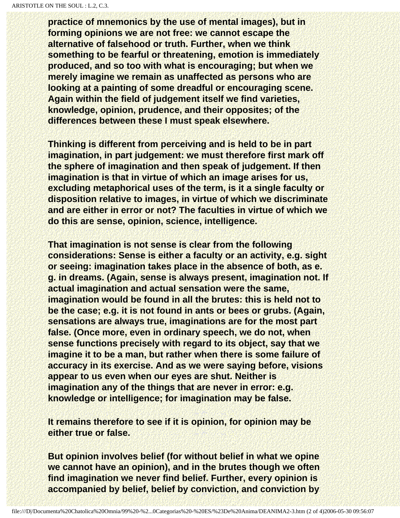**practice of mnemonics by the use of mental images), but in forming opinions we are not free: we cannot escape the alternative of falsehood or truth. Further, when we think something to be fearful or threatening, emotion is immediately produced, and so too with what is encouraging; but when we merely imagine we remain as unaffected as persons who are looking at a painting of some dreadful or encouraging scene. Again within the field of judgement itself we find varieties, knowledge, opinion, prudence, and their opposites; of the differences between these I must speak elsewhere.** 

**Thinking is different from perceiving and is held to be in part imagination, in part judgement: we must therefore first mark off the sphere of imagination and then speak of judgement. If then imagination is that in virtue of which an image arises for us, excluding metaphorical uses of the term, is it a single faculty or disposition relative to images, in virtue of which we discriminate and are either in error or not? The faculties in virtue of which we do this are sense, opinion, science, intelligence.** 

**That imagination is not sense is clear from the following considerations: Sense is either a faculty or an activity, e.g. sight or seeing: imagination takes place in the absence of both, as e. g. in dreams. (Again, sense is always present, imagination not. If actual imagination and actual sensation were the same, imagination would be found in all the brutes: this is held not to be the case; e.g. it is not found in ants or bees or grubs. (Again, sensations are always true, imaginations are for the most part false. (Once more, even in ordinary speech, we do not, when sense functions precisely with regard to its object, say that we imagine it to be a man, but rather when there is some failure of accuracy in its exercise. And as we were saying before, visions appear to us even when our eyes are shut. Neither is imagination any of the things that are never in error: e.g. knowledge or intelligence; for imagination may be false.** 

**It remains therefore to see if it is opinion, for opinion may be either true or false.** 

**But opinion involves belief (for without belief in what we opine we cannot have an opinion), and in the brutes though we often find imagination we never find belief. Further, every opinion is accompanied by belief, belief by conviction, and conviction by**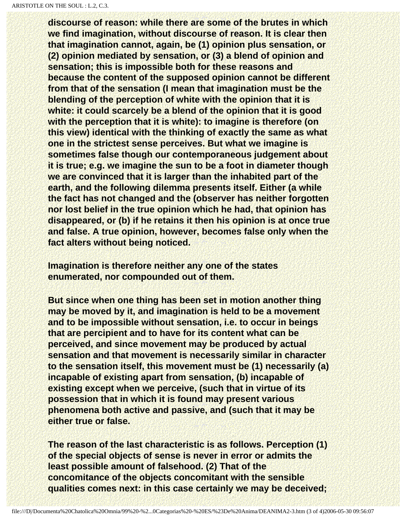**discourse of reason: while there are some of the brutes in which we find imagination, without discourse of reason. It is clear then that imagination cannot, again, be (1) opinion plus sensation, or (2) opinion mediated by sensation, or (3) a blend of opinion and sensation; this is impossible both for these reasons and because the content of the supposed opinion cannot be different from that of the sensation (I mean that imagination must be the blending of the perception of white with the opinion that it is white: it could scarcely be a blend of the opinion that it is good with the perception that it is white): to imagine is therefore (on this view) identical with the thinking of exactly the same as what one in the strictest sense perceives. But what we imagine is sometimes false though our contemporaneous judgement about it is true; e.g. we imagine the sun to be a foot in diameter though we are convinced that it is larger than the inhabited part of the earth, and the following dilemma presents itself. Either (a while the fact has not changed and the (observer has neither forgotten nor lost belief in the true opinion which he had, that opinion has disappeared, or (b) if he retains it then his opinion is at once true and false. A true opinion, however, becomes false only when the fact alters without being noticed.** 

**Imagination is therefore neither any one of the states enumerated, nor compounded out of them.** 

**But since when one thing has been set in motion another thing may be moved by it, and imagination is held to be a movement and to be impossible without sensation, i.e. to occur in beings that are percipient and to have for its content what can be perceived, and since movement may be produced by actual sensation and that movement is necessarily similar in character to the sensation itself, this movement must be (1) necessarily (a) incapable of existing apart from sensation, (b) incapable of existing except when we perceive, (such that in virtue of its possession that in which it is found may present various phenomena both active and passive, and (such that it may be either true or false.** 

**The reason of the last characteristic is as follows. Perception (1) of the special objects of sense is never in error or admits the least possible amount of falsehood. (2) That of the concomitance of the objects concomitant with the sensible qualities comes next: in this case certainly we may be deceived;**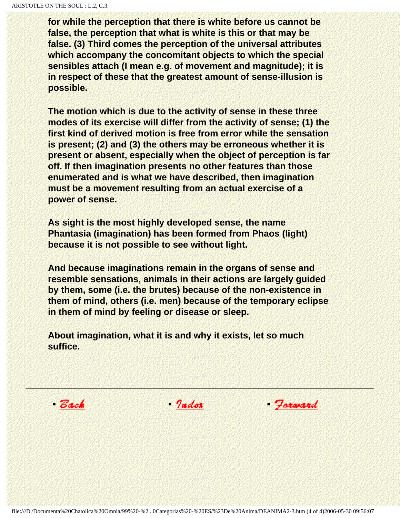**for while the perception that there is white before us cannot be false, the perception that what is white is this or that may be false. (3) Third comes the perception of the universal attributes which accompany the concomitant objects to which the special sensibles attach (I mean e.g. of movement and magnitude); it is in respect of these that the greatest amount of sense-illusion is possible.** 

**The motion which is due to the activity of sense in these three modes of its exercise will differ from the activity of sense; (1) the first kind of derived motion is free from error while the sensation is present; (2) and (3) the others may be erroneous whether it is present or absent, especially when the object of perception is far off. If then imagination presents no other features than those enumerated and is what we have described, then imagination must be a movement resulting from an actual exercise of a power of sense.** 

**As sight is the most highly developed sense, the name Phantasia (imagination) has been formed from Phaos (light) because it is not possible to see without light.** 

**And because imaginations remain in the organs of sense and resemble sensations, animals in their actions are largely guided by them, some (i.e. the brutes) because of the non-existence in them of mind, others (i.e. men) because of the temporary eclipse in them of mind by feeling or disease or sleep.** 

**About imagination, what it is and why it exists, let so much suffice.** 





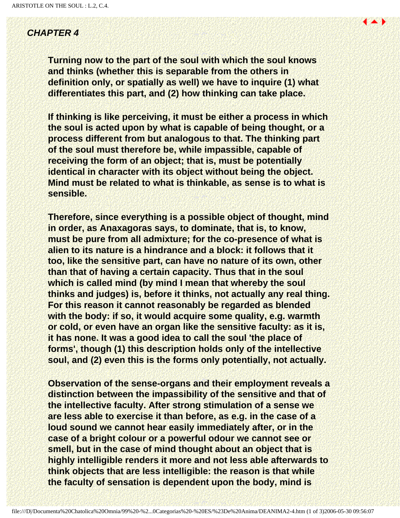# $\blacktriangle$

### **CHAPTER 4**

**Turning now to the part of the soul with which the soul knows and thinks (whether this is separable from the others in definition only, or spatially as well) we have to inquire (1) what differentiates this part, and (2) how thinking can take place.** 

**If thinking is like perceiving, it must be either a process in which the soul is acted upon by what is capable of being thought, or a process different from but analogous to that. The thinking part of the soul must therefore be, while impassible, capable of receiving the form of an object; that is, must be potentially identical in character with its object without being the object. Mind must be related to what is thinkable, as sense is to what is sensible.** 

**Therefore, since everything is a possible object of thought, mind in order, as Anaxagoras says, to dominate, that is, to know, must be pure from all admixture; for the co-presence of what is alien to its nature is a hindrance and a block: it follows that it too, like the sensitive part, can have no nature of its own, other than that of having a certain capacity. Thus that in the soul which is called mind (by mind I mean that whereby the soul thinks and judges) is, before it thinks, not actually any real thing. For this reason it cannot reasonably be regarded as blended with the body: if so, it would acquire some quality, e.g. warmth or cold, or even have an organ like the sensitive faculty: as it is, it has none. It was a good idea to call the soul 'the place of forms', though (1) this description holds only of the intellective soul, and (2) even this is the forms only potentially, not actually.** 

**Observation of the sense-organs and their employment reveals a distinction between the impassibility of the sensitive and that of the intellective faculty. After strong stimulation of a sense we are less able to exercise it than before, as e.g. in the case of a loud sound we cannot hear easily immediately after, or in the case of a bright colour or a powerful odour we cannot see or smell, but in the case of mind thought about an object that is highly intelligible renders it more and not less able afterwards to think objects that are less intelligible: the reason is that while the faculty of sensation is dependent upon the body, mind is**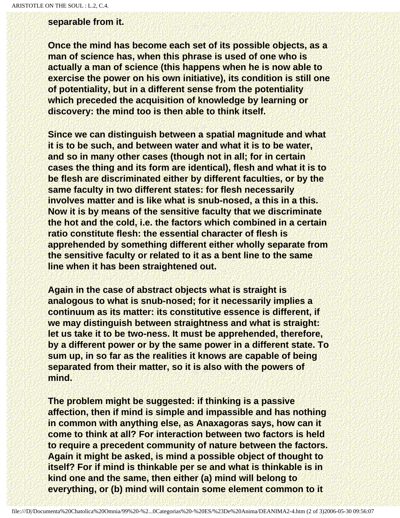### **separable from it.**

**Once the mind has become each set of its possible objects, as a man of science has, when this phrase is used of one who is actually a man of science (this happens when he is now able to exercise the power on his own initiative), its condition is still one of potentiality, but in a different sense from the potentiality which preceded the acquisition of knowledge by learning or discovery: the mind too is then able to think itself.** 

**Since we can distinguish between a spatial magnitude and what it is to be such, and between water and what it is to be water, and so in many other cases (though not in all; for in certain cases the thing and its form are identical), flesh and what it is to be flesh are discriminated either by different faculties, or by the same faculty in two different states: for flesh necessarily involves matter and is like what is snub-nosed, a this in a this. Now it is by means of the sensitive faculty that we discriminate the hot and the cold, i.e. the factors which combined in a certain ratio constitute flesh: the essential character of flesh is apprehended by something different either wholly separate from the sensitive faculty or related to it as a bent line to the same line when it has been straightened out.** 

**Again in the case of abstract objects what is straight is analogous to what is snub-nosed; for it necessarily implies a continuum as its matter: its constitutive essence is different, if we may distinguish between straightness and what is straight: let us take it to be two-ness. It must be apprehended, therefore, by a different power or by the same power in a different state. To sum up, in so far as the realities it knows are capable of being separated from their matter, so it is also with the powers of mind.** 

**The problem might be suggested: if thinking is a passive affection, then if mind is simple and impassible and has nothing in common with anything else, as Anaxagoras says, how can it come to think at all? For interaction between two factors is held to require a precedent community of nature between the factors. Again it might be asked, is mind a possible object of thought to itself? For if mind is thinkable per se and what is thinkable is in kind one and the same, then either (a) mind will belong to everything, or (b) mind will contain some element common to it**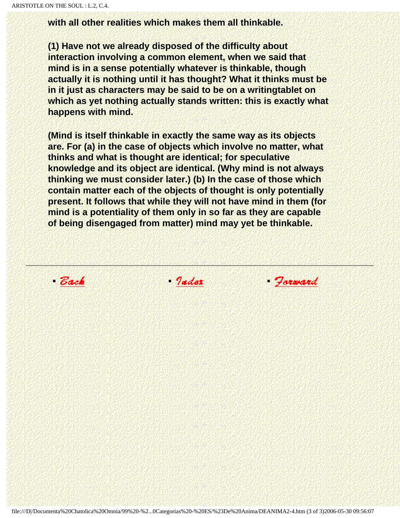**with all other realities which makes them all thinkable.** 

**(1) Have not we already disposed of the difficulty about interaction involving a common element, when we said that mind is in a sense potentially whatever is thinkable, though actually it is nothing until it has thought? What it thinks must be in it just as characters may be said to be on a writingtablet on which as yet nothing actually stands written: this is exactly what happens with mind.** 

**(Mind is itself thinkable in exactly the same way as its objects are. For (a) in the case of objects which involve no matter, what thinks and what is thought are identical; for speculative knowledge and its object are identical. (Why mind is not always thinking we must consider later.) (b) In the case of those which contain matter each of the objects of thought is only potentially present. It follows that while they will not have mind in them (for mind is a potentiality of them only in so far as they are capable of being disengaged from matter) mind may yet be thinkable.** 



Jadox

Forward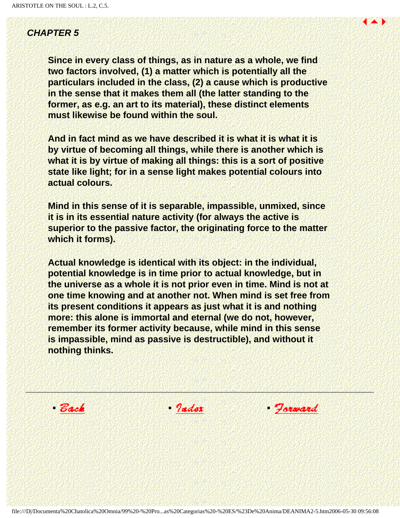**Since in every class of things, as in nature as a whole, we find two factors involved, (1) a matter which is potentially all the particulars included in the class, (2) a cause which is productive in the sense that it makes them all (the latter standing to the former, as e.g. an art to its material), these distinct elements must likewise be found within the soul.** 

**And in fact mind as we have described it is what it is what it is by virtue of becoming all things, while there is another which is what it is by virtue of making all things: this is a sort of positive state like light; for in a sense light makes potential colours into actual colours.** 

**Mind in this sense of it is separable, impassible, unmixed, since it is in its essential nature activity (for always the active is superior to the passive factor, the originating force to the matter which it forms).** 

**Actual knowledge is identical with its object: in the individual, potential knowledge is in time prior to actual knowledge, but in the universe as a whole it is not prior even in time. Mind is not at one time knowing and at another not. When mind is set free from its present conditions it appears as just what it is and nothing more: this alone is immortal and eternal (we do not, however, remember its former activity because, while mind in this sense is impassible, mind as passive is destructible), and without it nothing thinks.** 





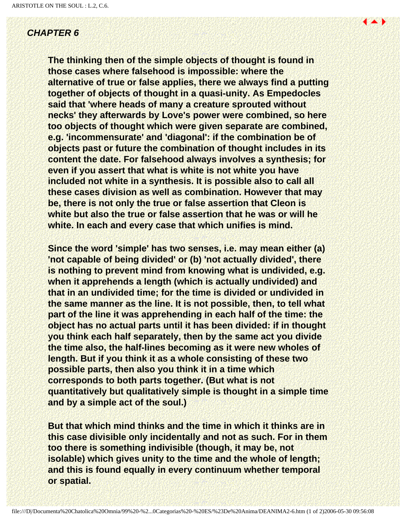**The thinking then of the simple objects of thought is found in those cases where falsehood is impossible: where the alternative of true or false applies, there we always find a putting together of objects of thought in a quasi-unity. As Empedocles said that 'where heads of many a creature sprouted without necks' they afterwards by Love's power were combined, so here too objects of thought which were given separate are combined, e.g. 'incommensurate' and 'diagonal': if the combination be of objects past or future the combination of thought includes in its content the date. For falsehood always involves a synthesis; for even if you assert that what is white is not white you have included not white in a synthesis. It is possible also to call all these cases division as well as combination. However that may be, there is not only the true or false assertion that Cleon is white but also the true or false assertion that he was or will he white. In each and every case that which unifies is mind.** 

 $\blacktriangle$ 

**Since the word 'simple' has two senses, i.e. may mean either (a) 'not capable of being divided' or (b) 'not actually divided', there is nothing to prevent mind from knowing what is undivided, e.g. when it apprehends a length (which is actually undivided) and that in an undivided time; for the time is divided or undivided in the same manner as the line. It is not possible, then, to tell what part of the line it was apprehending in each half of the time: the object has no actual parts until it has been divided: if in thought you think each half separately, then by the same act you divide the time also, the half-lines becoming as it were new wholes of length. But if you think it as a whole consisting of these two possible parts, then also you think it in a time which corresponds to both parts together. (But what is not quantitatively but qualitatively simple is thought in a simple time and by a simple act of the soul.)** 

**But that which mind thinks and the time in which it thinks are in this case divisible only incidentally and not as such. For in them too there is something indivisible (though, it may be, not isolable) which gives unity to the time and the whole of length; and this is found equally in every continuum whether temporal or spatial.**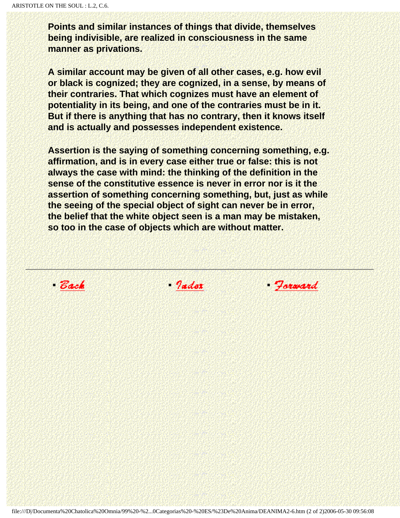**Points and similar instances of things that divide, themselves being indivisible, are realized in consciousness in the same manner as privations.** 

**A similar account may be given of all other cases, e.g. how evil or black is cognized; they are cognized, in a sense, by means of their contraries. That which cognizes must have an element of potentiality in its being, and one of the contraries must be in it. But if there is anything that has no contrary, then it knows itself and is actually and possesses independent existence.** 

**Assertion is the saying of something concerning something, e.g. affirmation, and is in every case either true or false: this is not always the case with mind: the thinking of the definition in the sense of the constitutive essence is never in error nor is it the assertion of something concerning something, but, just as while the seeing of the special object of sight can never be in error, the belief that the white object seen is a man may be mistaken, so too in the case of objects which are without matter.** 



 $-<sub>2</sub>$  adox

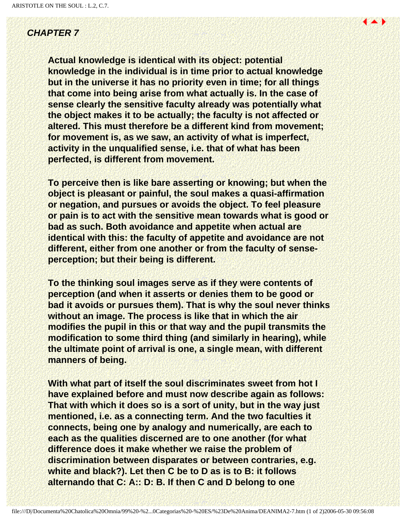# $\blacktriangle$

### **CHAPTER 7**

**Actual knowledge is identical with its object: potential knowledge in the individual is in time prior to actual knowledge but in the universe it has no priority even in time; for all things that come into being arise from what actually is. In the case of sense clearly the sensitive faculty already was potentially what the object makes it to be actually; the faculty is not affected or altered. This must therefore be a different kind from movement; for movement is, as we saw, an activity of what is imperfect, activity in the unqualified sense, i.e. that of what has been perfected, is different from movement.** 

**To perceive then is like bare asserting or knowing; but when the object is pleasant or painful, the soul makes a quasi-affirmation or negation, and pursues or avoids the object. To feel pleasure or pain is to act with the sensitive mean towards what is good or bad as such. Both avoidance and appetite when actual are identical with this: the faculty of appetite and avoidance are not different, either from one another or from the faculty of senseperception; but their being is different.** 

**To the thinking soul images serve as if they were contents of perception (and when it asserts or denies them to be good or bad it avoids or pursues them). That is why the soul never thinks without an image. The process is like that in which the air modifies the pupil in this or that way and the pupil transmits the modification to some third thing (and similarly in hearing), while the ultimate point of arrival is one, a single mean, with different manners of being.** 

**With what part of itself the soul discriminates sweet from hot I have explained before and must now describe again as follows: That with which it does so is a sort of unity, but in the way just mentioned, i.e. as a connecting term. And the two faculties it connects, being one by analogy and numerically, are each to each as the qualities discerned are to one another (for what difference does it make whether we raise the problem of discrimination between disparates or between contraries, e.g. white and black?). Let then C be to D as is to B: it follows alternando that C: A:: D: B. If then C and D belong to one**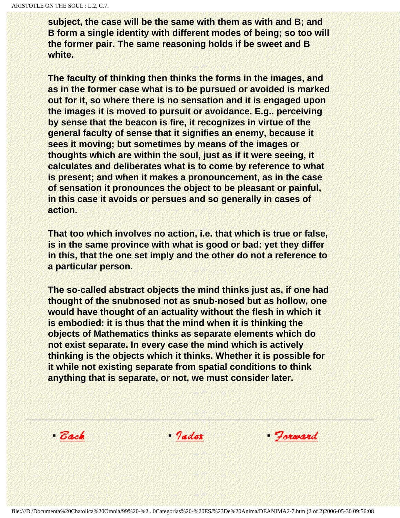**subject, the case will be the same with them as with and B; and B form a single identity with different modes of being; so too will the former pair. The same reasoning holds if be sweet and B white.** 

**The faculty of thinking then thinks the forms in the images, and as in the former case what is to be pursued or avoided is marked out for it, so where there is no sensation and it is engaged upon the images it is moved to pursuit or avoidance. E.g.. perceiving by sense that the beacon is fire, it recognizes in virtue of the general faculty of sense that it signifies an enemy, because it sees it moving; but sometimes by means of the images or thoughts which are within the soul, just as if it were seeing, it calculates and deliberates what is to come by reference to what is present; and when it makes a pronouncement, as in the case of sensation it pronounces the object to be pleasant or painful, in this case it avoids or persues and so generally in cases of action.** 

**That too which involves no action, i.e. that which is true or false, is in the same province with what is good or bad: yet they differ in this, that the one set imply and the other do not a reference to a particular person.** 

**The so-called abstract objects the mind thinks just as, if one had thought of the snubnosed not as snub-nosed but as hollow, one would have thought of an actuality without the flesh in which it is embodied: it is thus that the mind when it is thinking the objects of Mathematics thinks as separate elements which do not exist separate. In every case the mind which is actively thinking is the objects which it thinks. Whether it is possible for it while not existing separate from spatial conditions to think anything that is separate, or not, we must consider later.** 





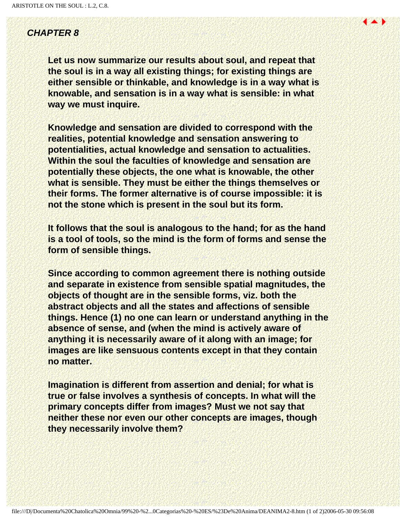**Let us now summarize our results about soul, and repeat that the soul is in a way all existing things; for existing things are either sensible or thinkable, and knowledge is in a way what is knowable, and sensation is in a way what is sensible: in what way we must inquire.** 

**Knowledge and sensation are divided to correspond with the realities, potential knowledge and sensation answering to potentialities, actual knowledge and sensation to actualities. Within the soul the faculties of knowledge and sensation are potentially these objects, the one what is knowable, the other what is sensible. They must be either the things themselves or their forms. The former alternative is of course impossible: it is not the stone which is present in the soul but its form.** 

**It follows that the soul is analogous to the hand; for as the hand is a tool of tools, so the mind is the form of forms and sense the form of sensible things.** 

**Since according to common agreement there is nothing outside and separate in existence from sensible spatial magnitudes, the objects of thought are in the sensible forms, viz. both the abstract objects and all the states and affections of sensible things. Hence (1) no one can learn or understand anything in the absence of sense, and (when the mind is actively aware of anything it is necessarily aware of it along with an image; for images are like sensuous contents except in that they contain no matter.** 

**Imagination is different from assertion and denial; for what is true or false involves a synthesis of concepts. In what will the primary concepts differ from images? Must we not say that neither these nor even our other concepts are images, though they necessarily involve them?**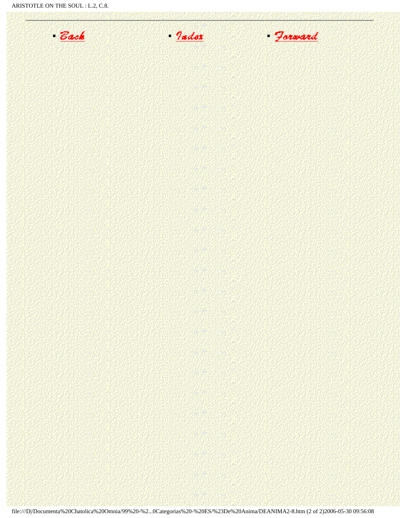



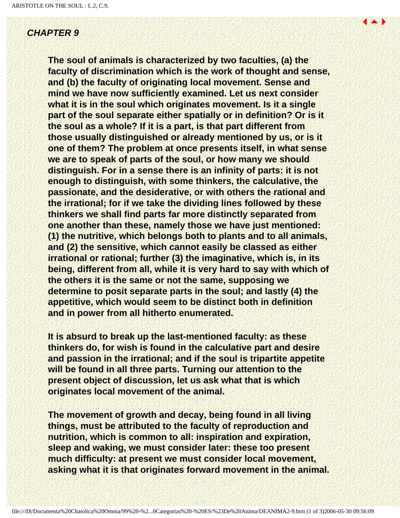**The soul of animals is characterized by two faculties, (a) the faculty of discrimination which is the work of thought and sense, and (b) the faculty of originating local movement. Sense and mind we have now sufficiently examined. Let us next consider what it is in the soul which originates movement. Is it a single part of the soul separate either spatially or in definition? Or is it the soul as a whole? If it is a part, is that part different from those usually distinguished or already mentioned by us, or is it one of them? The problem at once presents itself, in what sense we are to speak of parts of the soul, or how many we should distinguish. For in a sense there is an infinity of parts: it is not enough to distinguish, with some thinkers, the calculative, the passionate, and the desiderative, or with others the rational and the irrational; for if we take the dividing lines followed by these thinkers we shall find parts far more distinctly separated from one another than these, namely those we have just mentioned: (1) the nutritive, which belongs both to plants and to all animals, and (2) the sensitive, which cannot easily be classed as either irrational or rational; further (3) the imaginative, which is, in its being, different from all, while it is very hard to say with which of the others it is the same or not the same, supposing we determine to posit separate parts in the soul; and lastly (4) the appetitive, which would seem to be distinct both in definition and in power from all hitherto enumerated.** 

 $\blacktriangle$ 

**It is absurd to break up the last-mentioned faculty: as these thinkers do, for wish is found in the calculative part and desire and passion in the irrational; and if the soul is tripartite appetite will be found in all three parts. Turning our attention to the present object of discussion, let us ask what that is which originates local movement of the animal.** 

**The movement of growth and decay, being found in all living things, must be attributed to the faculty of reproduction and nutrition, which is common to all: inspiration and expiration, sleep and waking, we must consider later: these too present much difficulty: at present we must consider local movement, asking what it is that originates forward movement in the animal.**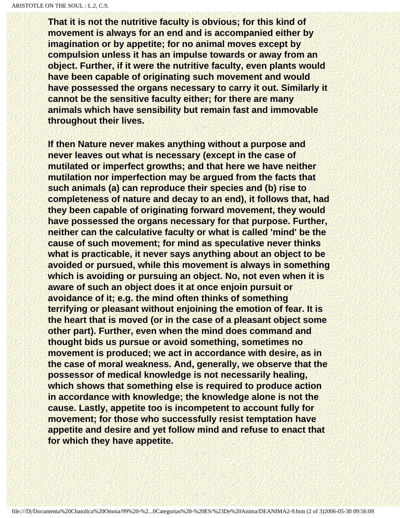**That it is not the nutritive faculty is obvious; for this kind of movement is always for an end and is accompanied either by imagination or by appetite; for no animal moves except by compulsion unless it has an impulse towards or away from an object. Further, if it were the nutritive faculty, even plants would have been capable of originating such movement and would have possessed the organs necessary to carry it out. Similarly it cannot be the sensitive faculty either; for there are many animals which have sensibility but remain fast and immovable throughout their lives.** 

**If then Nature never makes anything without a purpose and never leaves out what is necessary (except in the case of mutilated or imperfect growths; and that here we have neither mutilation nor imperfection may be argued from the facts that such animals (a) can reproduce their species and (b) rise to completeness of nature and decay to an end), it follows that, had they been capable of originating forward movement, they would have possessed the organs necessary for that purpose. Further, neither can the calculative faculty or what is called 'mind' be the cause of such movement; for mind as speculative never thinks what is practicable, it never says anything about an object to be avoided or pursued, while this movement is always in something which is avoiding or pursuing an object. No, not even when it is aware of such an object does it at once enjoin pursuit or avoidance of it; e.g. the mind often thinks of something terrifying or pleasant without enjoining the emotion of fear. It is the heart that is moved (or in the case of a pleasant object some other part). Further, even when the mind does command and thought bids us pursue or avoid something, sometimes no movement is produced; we act in accordance with desire, as in the case of moral weakness. And, generally, we observe that the possessor of medical knowledge is not necessarily healing, which shows that something else is required to produce action in accordance with knowledge; the knowledge alone is not the cause. Lastly, appetite too is incompetent to account fully for movement; for those who successfully resist temptation have appetite and desire and yet follow mind and refuse to enact that for which they have appetite.**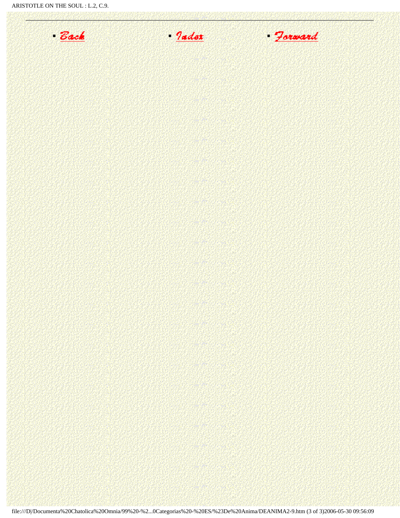



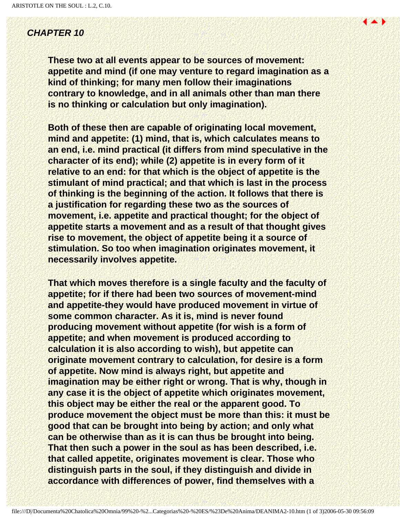# $\blacktriangle$

### **CHAPTER 10**

**These two at all events appear to be sources of movement: appetite and mind (if one may venture to regard imagination as a kind of thinking; for many men follow their imaginations contrary to knowledge, and in all animals other than man there is no thinking or calculation but only imagination).** 

**Both of these then are capable of originating local movement, mind and appetite: (1) mind, that is, which calculates means to an end, i.e. mind practical (it differs from mind speculative in the character of its end); while (2) appetite is in every form of it relative to an end: for that which is the object of appetite is the stimulant of mind practical; and that which is last in the process of thinking is the beginning of the action. It follows that there is a justification for regarding these two as the sources of movement, i.e. appetite and practical thought; for the object of appetite starts a movement and as a result of that thought gives rise to movement, the object of appetite being it a source of stimulation. So too when imagination originates movement, it necessarily involves appetite.** 

**That which moves therefore is a single faculty and the faculty of appetite; for if there had been two sources of movement-mind and appetite-they would have produced movement in virtue of some common character. As it is, mind is never found producing movement without appetite (for wish is a form of appetite; and when movement is produced according to calculation it is also according to wish), but appetite can originate movement contrary to calculation, for desire is a form of appetite. Now mind is always right, but appetite and imagination may be either right or wrong. That is why, though in any case it is the object of appetite which originates movement, this object may be either the real or the apparent good. To produce movement the object must be more than this: it must be good that can be brought into being by action; and only what can be otherwise than as it is can thus be brought into being. That then such a power in the soul as has been described, i.e. that called appetite, originates movement is clear. Those who distinguish parts in the soul, if they distinguish and divide in accordance with differences of power, find themselves with a**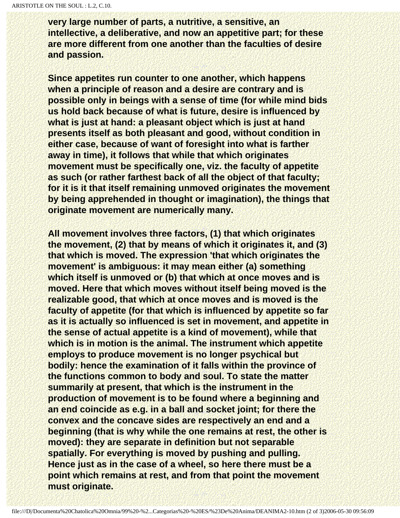**very large number of parts, a nutritive, a sensitive, an intellective, a deliberative, and now an appetitive part; for these are more different from one another than the faculties of desire and passion.** 

**Since appetites run counter to one another, which happens when a principle of reason and a desire are contrary and is possible only in beings with a sense of time (for while mind bids us hold back because of what is future, desire is influenced by what is just at hand: a pleasant object which is just at hand presents itself as both pleasant and good, without condition in either case, because of want of foresight into what is farther away in time), it follows that while that which originates movement must be specifically one, viz. the faculty of appetite as such (or rather farthest back of all the object of that faculty; for it is it that itself remaining unmoved originates the movement by being apprehended in thought or imagination), the things that originate movement are numerically many.** 

**All movement involves three factors, (1) that which originates the movement, (2) that by means of which it originates it, and (3) that which is moved. The expression 'that which originates the movement' is ambiguous: it may mean either (a) something which itself is unmoved or (b) that which at once moves and is moved. Here that which moves without itself being moved is the realizable good, that which at once moves and is moved is the faculty of appetite (for that which is influenced by appetite so far as it is actually so influenced is set in movement, and appetite in the sense of actual appetite is a kind of movement), while that which is in motion is the animal. The instrument which appetite employs to produce movement is no longer psychical but bodily: hence the examination of it falls within the province of the functions common to body and soul. To state the matter summarily at present, that which is the instrument in the production of movement is to be found where a beginning and an end coincide as e.g. in a ball and socket joint; for there the convex and the concave sides are respectively an end and a beginning (that is why while the one remains at rest, the other is moved): they are separate in definition but not separable spatially. For everything is moved by pushing and pulling. Hence just as in the case of a wheel, so here there must be a point which remains at rest, and from that point the movement must originate.**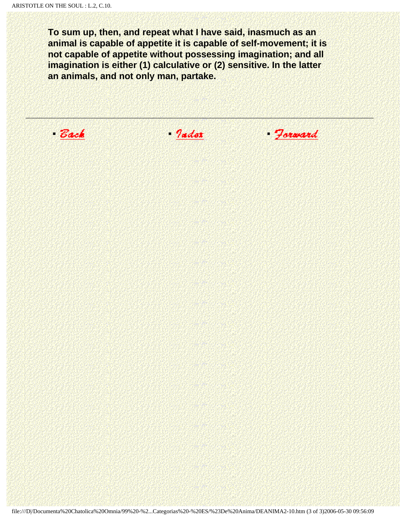**To sum up, then, and repeat what I have said, inasmuch as an animal is capable of appetite it is capable of self-movement; it is not capable of appetite without possessing imagination; and all imagination is either (1) calculative or (2) sensitive. In the latter an animals, and not only man, partake.** 





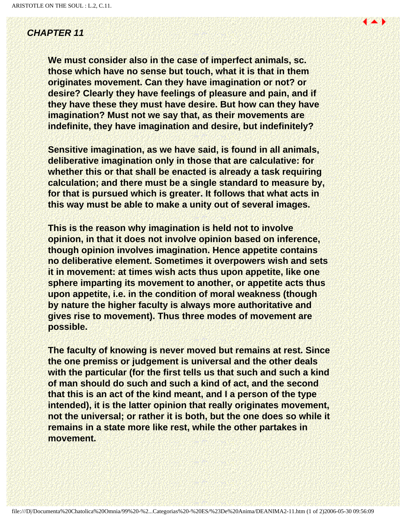**We must consider also in the case of imperfect animals, sc. those which have no sense but touch, what it is that in them originates movement. Can they have imagination or not? or desire? Clearly they have feelings of pleasure and pain, and if they have these they must have desire. But how can they have imagination? Must not we say that, as their movements are indefinite, they have imagination and desire, but indefinitely?** 

**Sensitive imagination, as we have said, is found in all animals, deliberative imagination only in those that are calculative: for whether this or that shall be enacted is already a task requiring calculation; and there must be a single standard to measure by, for that is pursued which is greater. It follows that what acts in this way must be able to make a unity out of several images.** 

**This is the reason why imagination is held not to involve opinion, in that it does not involve opinion based on inference, though opinion involves imagination. Hence appetite contains no deliberative element. Sometimes it overpowers wish and sets it in movement: at times wish acts thus upon appetite, like one sphere imparting its movement to another, or appetite acts thus upon appetite, i.e. in the condition of moral weakness (though by nature the higher faculty is always more authoritative and gives rise to movement). Thus three modes of movement are possible.** 

**The faculty of knowing is never moved but remains at rest. Since the one premiss or judgement is universal and the other deals with the particular (for the first tells us that such and such a kind of man should do such and such a kind of act, and the second that this is an act of the kind meant, and I a person of the type intended), it is the latter opinion that really originates movement, not the universal; or rather it is both, but the one does so while it remains in a state more like rest, while the other partakes in movement.**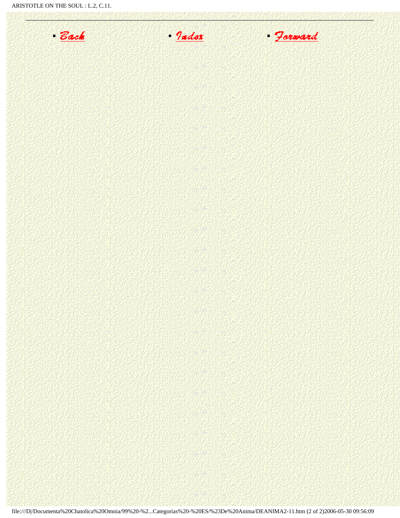



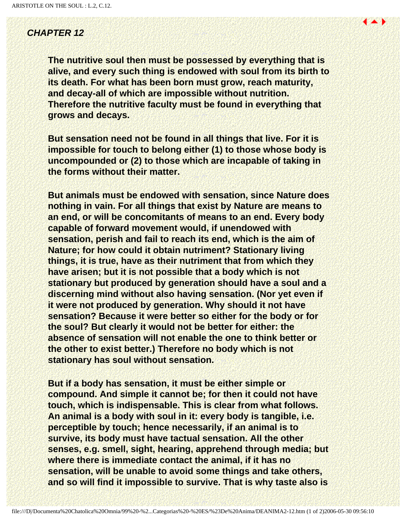ARISTOTLE ON THE SOUL : L.2, C.12.

# **CHAPTER 12**

**The nutritive soul then must be possessed by everything that is alive, and every such thing is endowed with soul from its birth to its death. For what has been born must grow, reach maturity, and decay-all of which are impossible without nutrition. Therefore the nutritive faculty must be found in everything that grows and decays.** 

 $\blacktriangle$ 

**But sensation need not be found in all things that live. For it is impossible for touch to belong either (1) to those whose body is uncompounded or (2) to those which are incapable of taking in the forms without their matter.** 

**But animals must be endowed with sensation, since Nature does nothing in vain. For all things that exist by Nature are means to an end, or will be concomitants of means to an end. Every body capable of forward movement would, if unendowed with sensation, perish and fail to reach its end, which is the aim of Nature; for how could it obtain nutriment? Stationary living things, it is true, have as their nutriment that from which they have arisen; but it is not possible that a body which is not stationary but produced by generation should have a soul and a discerning mind without also having sensation. (Nor yet even if it were not produced by generation. Why should it not have sensation? Because it were better so either for the body or for the soul? But clearly it would not be better for either: the absence of sensation will not enable the one to think better or the other to exist better.) Therefore no body which is not stationary has soul without sensation.** 

**But if a body has sensation, it must be either simple or compound. And simple it cannot be; for then it could not have touch, which is indispensable. This is clear from what follows. An animal is a body with soul in it: every body is tangible, i.e. perceptible by touch; hence necessarily, if an animal is to survive, its body must have tactual sensation. All the other senses, e.g. smell, sight, hearing, apprehend through media; but where there is immediate contact the animal, if it has no sensation, will be unable to avoid some things and take others, and so will find it impossible to survive. That is why taste also is**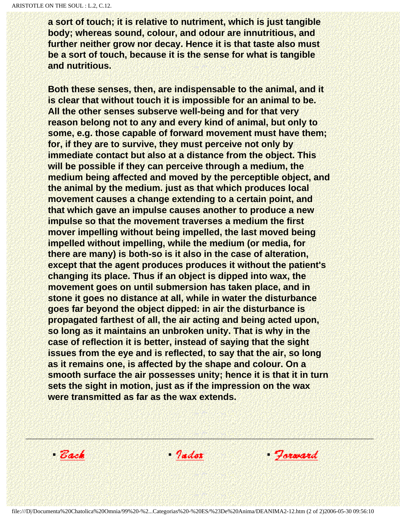**a sort of touch; it is relative to nutriment, which is just tangible body; whereas sound, colour, and odour are innutritious, and further neither grow nor decay. Hence it is that taste also must be a sort of touch, because it is the sense for what is tangible and nutritious.** 

**Both these senses, then, are indispensable to the animal, and it is clear that without touch it is impossible for an animal to be. All the other senses subserve well-being and for that very reason belong not to any and every kind of animal, but only to some, e.g. those capable of forward movement must have them; for, if they are to survive, they must perceive not only by immediate contact but also at a distance from the object. This will be possible if they can perceive through a medium, the medium being affected and moved by the perceptible object, and the animal by the medium. just as that which produces local movement causes a change extending to a certain point, and that which gave an impulse causes another to produce a new impulse so that the movement traverses a medium the first mover impelling without being impelled, the last moved being impelled without impelling, while the medium (or media, for there are many) is both-so is it also in the case of alteration, except that the agent produces produces it without the patient's changing its place. Thus if an object is dipped into wax, the movement goes on until submersion has taken place, and in stone it goes no distance at all, while in water the disturbance goes far beyond the object dipped: in air the disturbance is propagated farthest of all, the air acting and being acted upon, so long as it maintains an unbroken unity. That is why in the case of reflection it is better, instead of saying that the sight issues from the eye and is reflected, to say that the air, so long as it remains one, is affected by the shape and colour. On a smooth surface the air possesses unity; hence it is that it in turn sets the sight in motion, just as if the impression on the wax were transmitted as far as the wax extends.** 





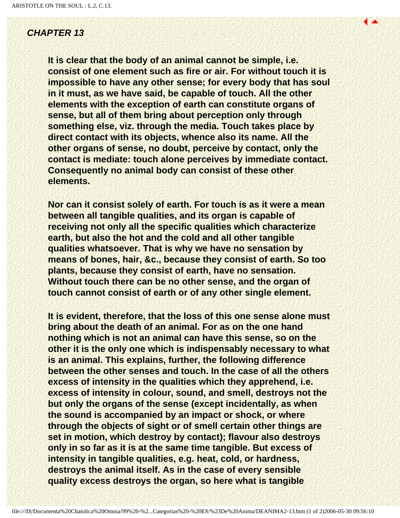**It is clear that the body of an animal cannot be simple, i.e. consist of one element such as fire or air. For without touch it is impossible to have any other sense; for every body that has soul in it must, as we have said, be capable of touch. All the other elements with the exception of earth can constitute organs of sense, but all of them bring about perception only through something else, viz. through the media. Touch takes place by direct contact with its objects, whence also its name. All the other organs of sense, no doubt, perceive by contact, only the contact is mediate: touch alone perceives by immediate contact. Consequently no animal body can consist of these other elements.** 

**Nor can it consist solely of earth. For touch is as it were a mean between all tangible qualities, and its organ is capable of receiving not only all the specific qualities which characterize earth, but also the hot and the cold and all other tangible qualities whatsoever. That is why we have no sensation by means of bones, hair, &c., because they consist of earth. So too plants, because they consist of earth, have no sensation. Without touch there can be no other sense, and the organ of touch cannot consist of earth or of any other single element.** 

**It is evident, therefore, that the loss of this one sense alone must bring about the death of an animal. For as on the one hand nothing which is not an animal can have this sense, so on the other it is the only one which is indispensably necessary to what is an animal. This explains, further, the following difference between the other senses and touch. In the case of all the others excess of intensity in the qualities which they apprehend, i.e. excess of intensity in colour, sound, and smell, destroys not the but only the organs of the sense (except incidentally, as when the sound is accompanied by an impact or shock, or where through the objects of sight or of smell certain other things are set in motion, which destroy by contact); flavour also destroys only in so far as it is at the same time tangible. But excess of intensity in tangible qualities, e.g. heat, cold, or hardness, destroys the animal itself. As in the case of every sensible quality excess destroys the organ, so here what is tangible**